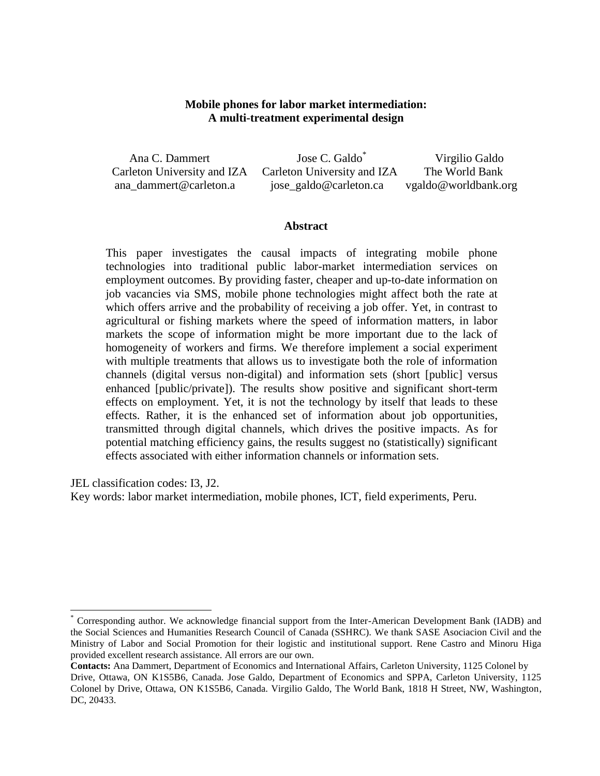# **Mobile phones for labor market intermediation: A multi-treatment experimental design**

| Ana C. Dammert              | Jose C. Galdo <sup>*</sup>  | Virgilio Galdo       |
|-----------------------------|-----------------------------|----------------------|
| Carleton University and IZA | Carleton University and IZA | The World Bank       |
| ana dammert@carleton.a      | jose_galdo@carleton.ca      | vgaldo@worldbank.org |

#### **Abstract**

This paper investigates the causal impacts of integrating mobile phone technologies into traditional public labor-market intermediation services on employment outcomes. By providing faster, cheaper and up-to-date information on job vacancies via SMS, mobile phone technologies might affect both the rate at which offers arrive and the probability of receiving a job offer. Yet, in contrast to agricultural or fishing markets where the speed of information matters, in labor markets the scope of information might be more important due to the lack of homogeneity of workers and firms. We therefore implement a social experiment with multiple treatments that allows us to investigate both the role of information channels (digital versus non-digital) and information sets (short [public] versus enhanced [public/private]). The results show positive and significant short-term effects on employment. Yet, it is not the technology by itself that leads to these effects. Rather, it is the enhanced set of information about job opportunities, transmitted through digital channels, which drives the positive impacts. As for potential matching efficiency gains, the results suggest no (statistically) significant effects associated with either information channels or information sets.

JEL classification codes: I3, J2.

 $\overline{a}$ 

Key words: labor market intermediation, mobile phones, ICT, field experiments, Peru.

<sup>\*</sup> Corresponding author. We acknowledge financial support from the Inter-American Development Bank (IADB) and the Social Sciences and Humanities Research Council of Canada (SSHRC). We thank SASE Asociacion Civil and the Ministry of Labor and Social Promotion for their logistic and institutional support. Rene Castro and Minoru Higa provided excellent research assistance. All errors are our own.

**Contacts:** Ana Dammert, Department of Economics and International Affairs, Carleton University, 1125 Colonel by Drive, Ottawa, ON K1S5B6, Canada. Jose Galdo, Department of Economics and SPPA, Carleton University, 1125 Colonel by Drive, Ottawa, ON K1S5B6, Canada. Virgilio Galdo, The World Bank, 1818 H Street, NW, Washington, DC, 20433.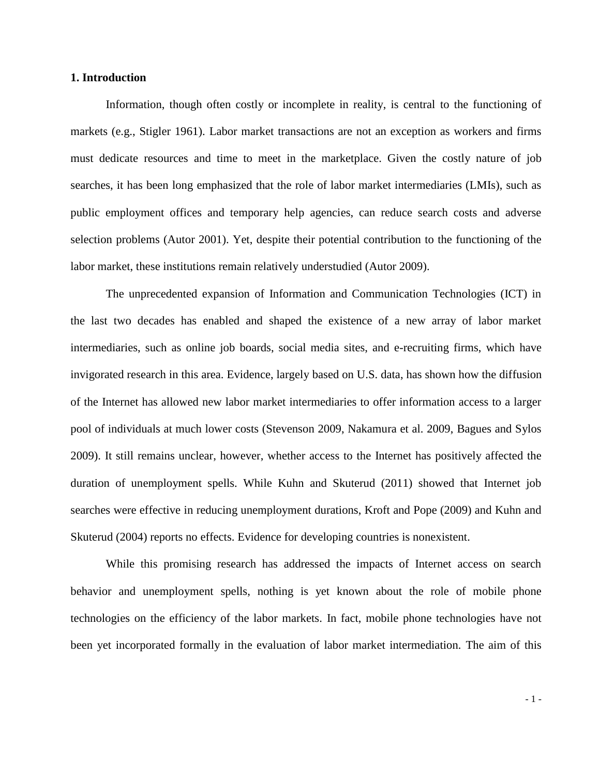#### **1. Introduction**

Information, though often costly or incomplete in reality, is central to the functioning of markets (e.g., Stigler 1961). Labor market transactions are not an exception as workers and firms must dedicate resources and time to meet in the marketplace. Given the costly nature of job searches, it has been long emphasized that the role of labor market intermediaries (LMIs), such as public employment offices and temporary help agencies, can reduce search costs and adverse selection problems (Autor 2001). Yet, despite their potential contribution to the functioning of the labor market, these institutions remain relatively understudied (Autor 2009).

The unprecedented expansion of Information and Communication Technologies (ICT) in the last two decades has enabled and shaped the existence of a new array of labor market intermediaries, such as online job boards, social media sites, and e-recruiting firms, which have invigorated research in this area. Evidence, largely based on U.S. data, has shown how the diffusion of the Internet has allowed new labor market intermediaries to offer information access to a larger pool of individuals at much lower costs (Stevenson 2009, Nakamura et al. 2009, Bagues and Sylos 2009). It still remains unclear, however, whether access to the Internet has positively affected the duration of unemployment spells. While Kuhn and Skuterud (2011) showed that Internet job searches were effective in reducing unemployment durations, Kroft and Pope (2009) and Kuhn and Skuterud (2004) reports no effects. Evidence for developing countries is nonexistent.

While this promising research has addressed the impacts of Internet access on search behavior and unemployment spells, nothing is yet known about the role of mobile phone technologies on the efficiency of the labor markets. In fact, mobile phone technologies have not been yet incorporated formally in the evaluation of labor market intermediation. The aim of this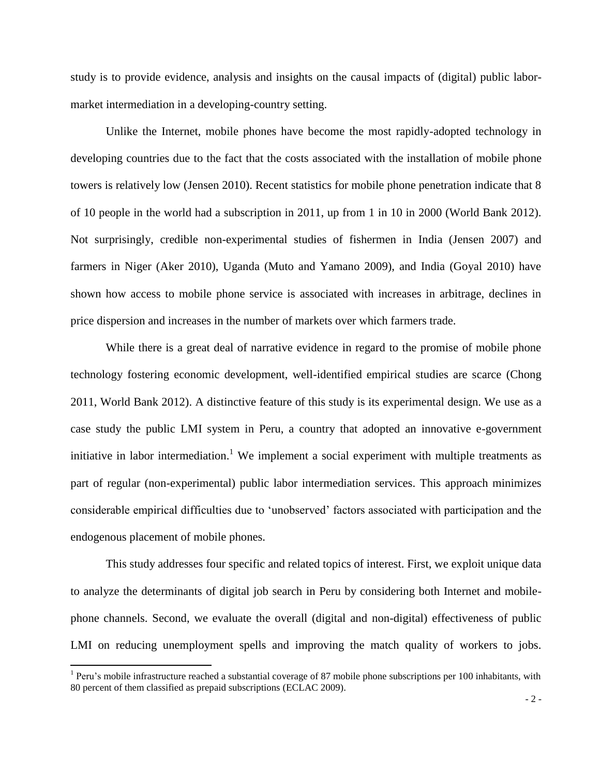study is to provide evidence, analysis and insights on the causal impacts of (digital) public labormarket intermediation in a developing-country setting.

Unlike the Internet, mobile phones have become the most rapidly-adopted technology in developing countries due to the fact that the costs associated with the installation of mobile phone towers is relatively low (Jensen 2010). Recent statistics for mobile phone penetration indicate that 8 of 10 people in the world had a subscription in 2011, up from 1 in 10 in 2000 (World Bank 2012). Not surprisingly, credible non-experimental studies of fishermen in India (Jensen 2007) and farmers in Niger (Aker 2010), Uganda (Muto and Yamano 2009), and India (Goyal 2010) have shown how access to mobile phone service is associated with increases in arbitrage, declines in price dispersion and increases in the number of markets over which farmers trade.

While there is a great deal of narrative evidence in regard to the promise of mobile phone technology fostering economic development, well-identified empirical studies are scarce (Chong 2011, World Bank 2012). A distinctive feature of this study is its experimental design. We use as a case study the public LMI system in Peru, a country that adopted an innovative e-government initiative in labor intermediation.<sup>1</sup> We implement a social experiment with multiple treatments as part of regular (non-experimental) public labor intermediation services. This approach minimizes considerable empirical difficulties due to 'unobserved' factors associated with participation and the endogenous placement of mobile phones.

This study addresses four specific and related topics of interest. First, we exploit unique data to analyze the determinants of digital job search in Peru by considering both Internet and mobilephone channels. Second, we evaluate the overall (digital and non-digital) effectiveness of public LMI on reducing unemployment spells and improving the match quality of workers to jobs.

l

 $1$  Peru's mobile infrastructure reached a substantial coverage of 87 mobile phone subscriptions per 100 inhabitants, with 80 percent of them classified as prepaid subscriptions (ECLAC 2009).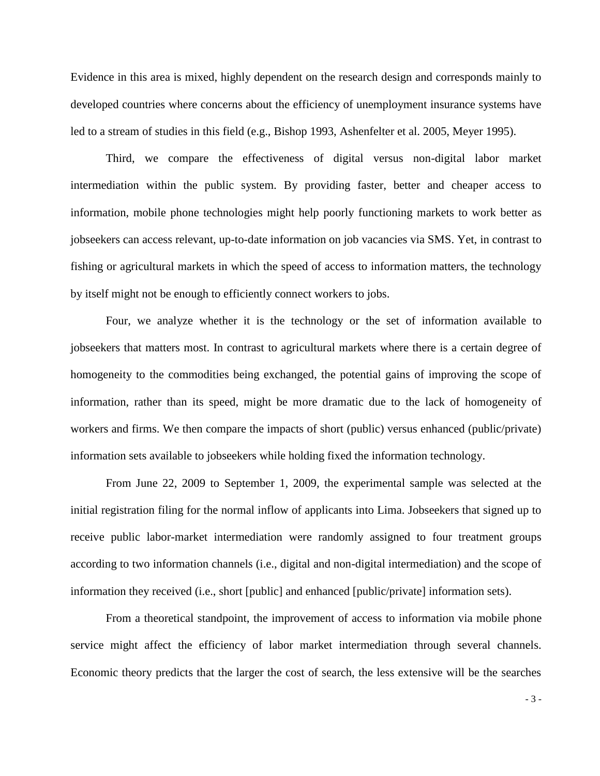Evidence in this area is mixed, highly dependent on the research design and corresponds mainly to developed countries where concerns about the efficiency of unemployment insurance systems have led to a stream of studies in this field (e.g., Bishop 1993, Ashenfelter et al. 2005, Meyer 1995).

Third, we compare the effectiveness of digital versus non-digital labor market intermediation within the public system. By providing faster, better and cheaper access to information, mobile phone technologies might help poorly functioning markets to work better as jobseekers can access relevant, up-to-date information on job vacancies via SMS. Yet, in contrast to fishing or agricultural markets in which the speed of access to information matters, the technology by itself might not be enough to efficiently connect workers to jobs.

Four, we analyze whether it is the technology or the set of information available to jobseekers that matters most. In contrast to agricultural markets where there is a certain degree of homogeneity to the commodities being exchanged, the potential gains of improving the scope of information, rather than its speed, might be more dramatic due to the lack of homogeneity of workers and firms. We then compare the impacts of short (public) versus enhanced (public/private) information sets available to jobseekers while holding fixed the information technology.

From June 22, 2009 to September 1, 2009, the experimental sample was selected at the initial registration filing for the normal inflow of applicants into Lima. Jobseekers that signed up to receive public labor-market intermediation were randomly assigned to four treatment groups according to two information channels (i.e., digital and non-digital intermediation) and the scope of information they received (i.e., short [public] and enhanced [public/private] information sets).

From a theoretical standpoint, the improvement of access to information via mobile phone service might affect the efficiency of labor market intermediation through several channels. Economic theory predicts that the larger the cost of search, the less extensive will be the searches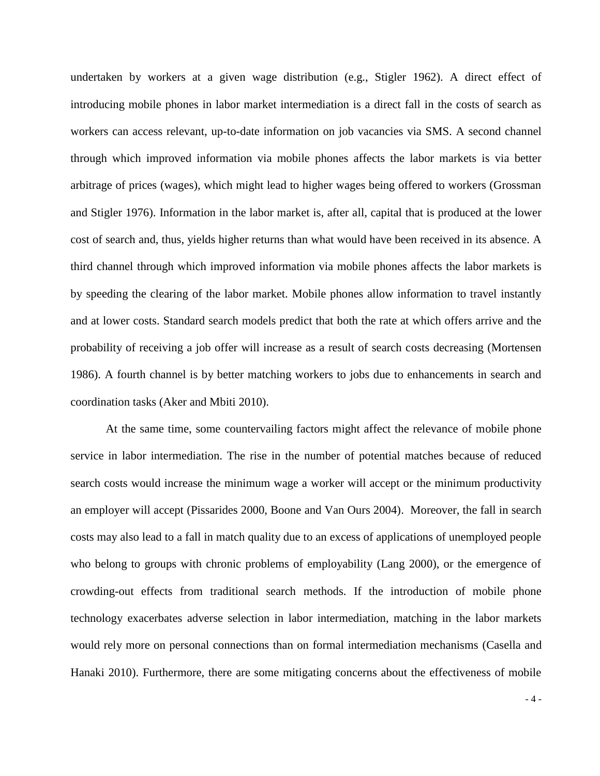undertaken by workers at a given wage distribution (e.g., Stigler 1962). A direct effect of introducing mobile phones in labor market intermediation is a direct fall in the costs of search as workers can access relevant, up-to-date information on job vacancies via SMS. A second channel through which improved information via mobile phones affects the labor markets is via better arbitrage of prices (wages), which might lead to higher wages being offered to workers (Grossman and Stigler 1976). Information in the labor market is, after all, capital that is produced at the lower cost of search and, thus, yields higher returns than what would have been received in its absence. A third channel through which improved information via mobile phones affects the labor markets is by speeding the clearing of the labor market. Mobile phones allow information to travel instantly and at lower costs. Standard search models predict that both the rate at which offers arrive and the probability of receiving a job offer will increase as a result of search costs decreasing (Mortensen 1986). A fourth channel is by better matching workers to jobs due to enhancements in search and coordination tasks (Aker and Mbiti 2010).

At the same time, some countervailing factors might affect the relevance of mobile phone service in labor intermediation. The rise in the number of potential matches because of reduced search costs would increase the minimum wage a worker will accept or the minimum productivity an employer will accept (Pissarides 2000, Boone and Van Ours 2004). Moreover, the fall in search costs may also lead to a fall in match quality due to an excess of applications of unemployed people who belong to groups with chronic problems of employability (Lang 2000), or the emergence of crowding-out effects from traditional search methods. If the introduction of mobile phone technology exacerbates adverse selection in labor intermediation, matching in the labor markets would rely more on personal connections than on formal intermediation mechanisms (Casella and Hanaki 2010). Furthermore, there are some mitigating concerns about the effectiveness of mobile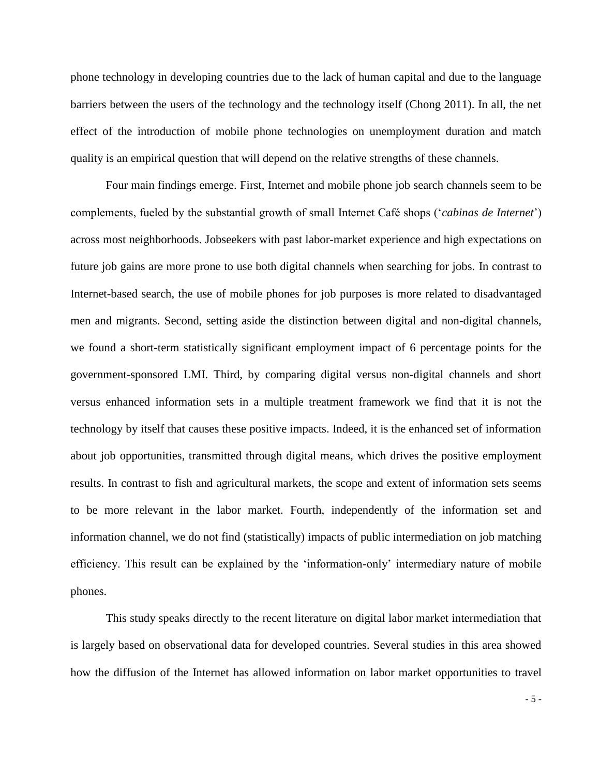phone technology in developing countries due to the lack of human capital and due to the language barriers between the users of the technology and the technology itself (Chong 2011). In all, the net effect of the introduction of mobile phone technologies on unemployment duration and match quality is an empirical question that will depend on the relative strengths of these channels.

Four main findings emerge. First, Internet and mobile phone job search channels seem to be complements, fueled by the substantial growth of small Internet Café shops ('*cabinas de Internet*') across most neighborhoods. Jobseekers with past labor-market experience and high expectations on future job gains are more prone to use both digital channels when searching for jobs. In contrast to Internet-based search, the use of mobile phones for job purposes is more related to disadvantaged men and migrants. Second, setting aside the distinction between digital and non-digital channels, we found a short-term statistically significant employment impact of 6 percentage points for the government-sponsored LMI. Third, by comparing digital versus non-digital channels and short versus enhanced information sets in a multiple treatment framework we find that it is not the technology by itself that causes these positive impacts. Indeed, it is the enhanced set of information about job opportunities, transmitted through digital means, which drives the positive employment results. In contrast to fish and agricultural markets, the scope and extent of information sets seems to be more relevant in the labor market. Fourth, independently of the information set and information channel, we do not find (statistically) impacts of public intermediation on job matching efficiency. This result can be explained by the 'information-only' intermediary nature of mobile phones.

This study speaks directly to the recent literature on digital labor market intermediation that is largely based on observational data for developed countries. Several studies in this area showed how the diffusion of the Internet has allowed information on labor market opportunities to travel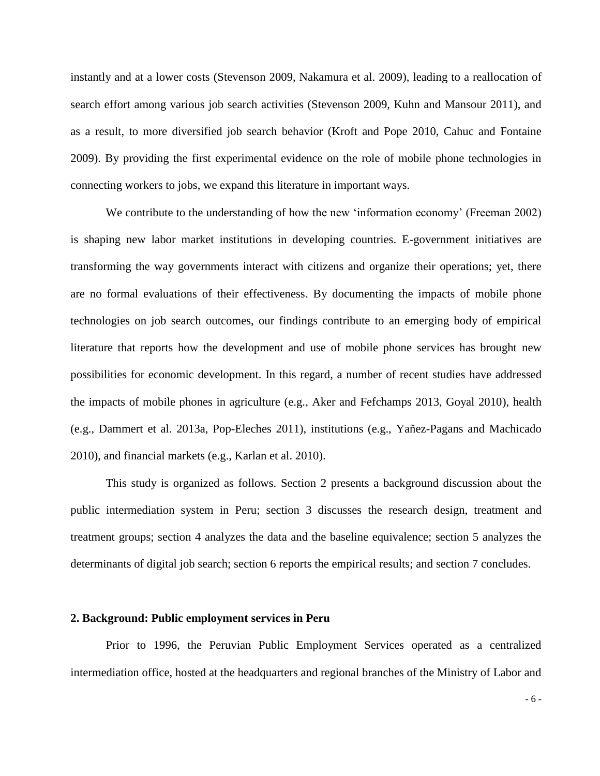instantly and at a lower costs (Stevenson 2009, Nakamura et al. 2009), leading to a reallocation of search effort among various job search activities (Stevenson 2009, Kuhn and Mansour 2011), and as a result, to more diversified job search behavior (Kroft and Pope 2010, Cahuc and Fontaine 2009). By providing the first experimental evidence on the role of mobile phone technologies in connecting workers to jobs, we expand this literature in important ways.

We contribute to the understanding of how the new 'information economy' (Freeman 2002) is shaping new labor market institutions in developing countries. E-government initiatives are transforming the way governments interact with citizens and organize their operations; yet, there are no formal evaluations of their effectiveness. By documenting the impacts of mobile phone technologies on job search outcomes, our findings contribute to an emerging body of empirical literature that reports how the development and use of mobile phone services has brought new possibilities for economic development. In this regard, a number of recent studies have addressed the impacts of mobile phones in agriculture (e.g., Aker and Fefchamps 2013, Goyal 2010), health (e.g., Dammert et al. 2013a, Pop-Eleches 2011), institutions (e.g., Yañez-Pagans and Machicado 2010), and financial markets (e.g., Karlan et al. 2010).

This study is organized as follows. Section 2 presents a background discussion about the public intermediation system in Peru; section 3 discusses the research design, treatment and treatment groups; section 4 analyzes the data and the baseline equivalence; section 5 analyzes the determinants of digital job search; section 6 reports the empirical results; and section 7 concludes.

#### **2. Background: Public employment services in Peru**

Prior to 1996, the Peruvian Public Employment Services operated as a centralized intermediation office, hosted at the headquarters and regional branches of the Ministry of Labor and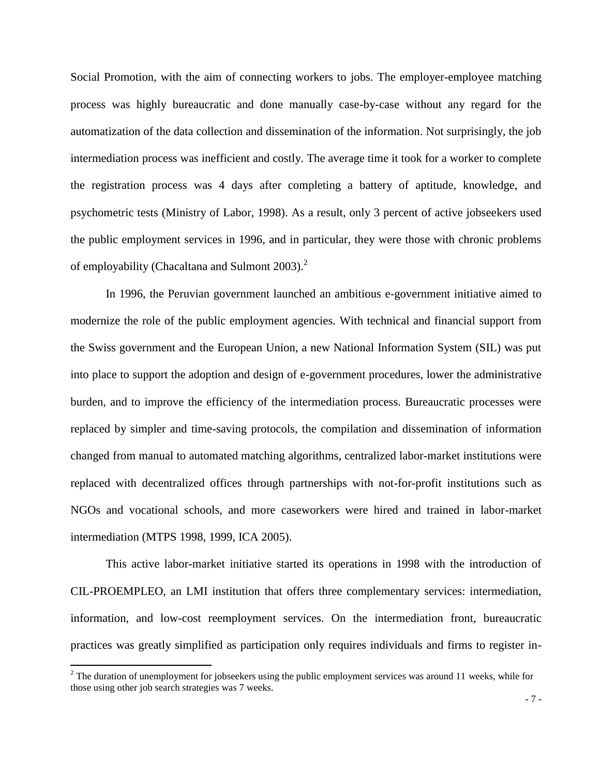Social Promotion, with the aim of connecting workers to jobs. The employer-employee matching process was highly bureaucratic and done manually case-by-case without any regard for the automatization of the data collection and dissemination of the information. Not surprisingly, the job intermediation process was inefficient and costly. The average time it took for a worker to complete the registration process was 4 days after completing a battery of aptitude, knowledge, and psychometric tests (Ministry of Labor, 1998). As a result, only 3 percent of active jobseekers used the public employment services in 1996, and in particular, they were those with chronic problems of employability (Chacaltana and Sulmont 2003). $^2$ 

In 1996, the Peruvian government launched an ambitious e-government initiative aimed to modernize the role of the public employment agencies. With technical and financial support from the Swiss government and the European Union, a new National Information System (SIL) was put into place to support the adoption and design of e-government procedures, lower the administrative burden, and to improve the efficiency of the intermediation process. Bureaucratic processes were replaced by simpler and time-saving protocols, the compilation and dissemination of information changed from manual to automated matching algorithms, centralized labor-market institutions were replaced with decentralized offices through partnerships with not-for-profit institutions such as NGOs and vocational schools, and more caseworkers were hired and trained in labor-market intermediation (MTPS 1998, 1999, ICA 2005).

This active labor-market initiative started its operations in 1998 with the introduction of CIL-PROEMPLEO, an LMI institution that offers three complementary services: intermediation, information, and low-cost reemployment services. On the intermediation front, bureaucratic practices was greatly simplified as participation only requires individuals and firms to register in-

l

 $2$  The duration of unemployment for jobseekers using the public employment services was around 11 weeks, while for those using other job search strategies was 7 weeks.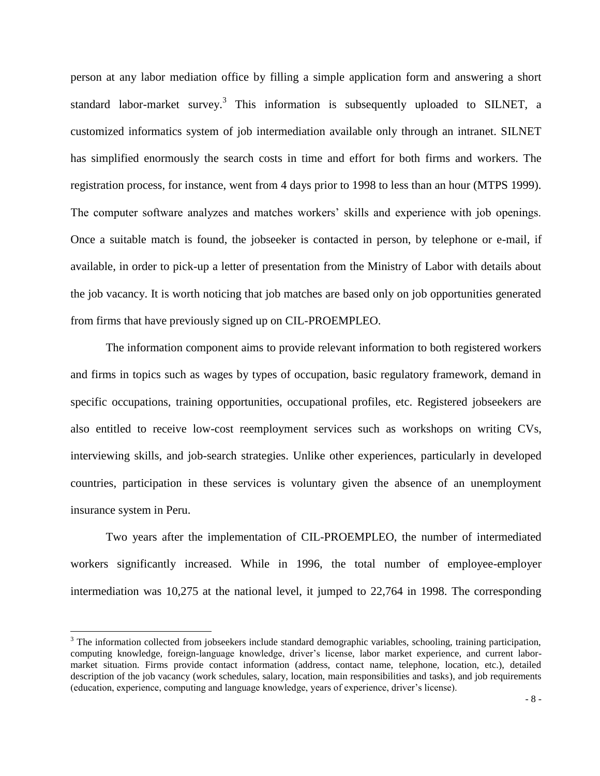person at any labor mediation office by filling a simple application form and answering a short standard labor-market survey.<sup>3</sup> This information is subsequently uploaded to SILNET, a customized informatics system of job intermediation available only through an intranet. SILNET has simplified enormously the search costs in time and effort for both firms and workers. The registration process, for instance, went from 4 days prior to 1998 to less than an hour (MTPS 1999). The computer software analyzes and matches workers' skills and experience with job openings. Once a suitable match is found, the jobseeker is contacted in person, by telephone or e-mail, if available, in order to pick-up a letter of presentation from the Ministry of Labor with details about the job vacancy. It is worth noticing that job matches are based only on job opportunities generated from firms that have previously signed up on CIL-PROEMPLEO.

The information component aims to provide relevant information to both registered workers and firms in topics such as wages by types of occupation, basic regulatory framework, demand in specific occupations, training opportunities, occupational profiles, etc. Registered jobseekers are also entitled to receive low-cost reemployment services such as workshops on writing CVs, interviewing skills, and job-search strategies. Unlike other experiences, particularly in developed countries, participation in these services is voluntary given the absence of an unemployment insurance system in Peru.

Two years after the implementation of CIL-PROEMPLEO, the number of intermediated workers significantly increased. While in 1996, the total number of employee-employer intermediation was 10,275 at the national level, it jumped to 22,764 in 1998. The corresponding

 $\overline{a}$ 

 $3$  The information collected from jobseekers include standard demographic variables, schooling, training participation, computing knowledge, foreign-language knowledge, driver's license, labor market experience, and current labormarket situation. Firms provide contact information (address, contact name, telephone, location, etc.), detailed description of the job vacancy (work schedules, salary, location, main responsibilities and tasks), and job requirements (education, experience, computing and language knowledge, years of experience, driver's license).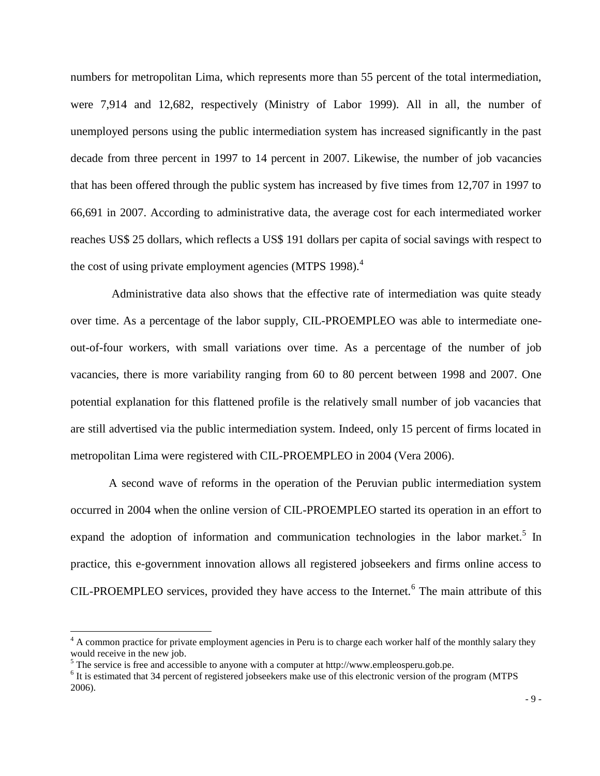numbers for metropolitan Lima, which represents more than 55 percent of the total intermediation, were 7,914 and 12,682, respectively (Ministry of Labor 1999). All in all, the number of unemployed persons using the public intermediation system has increased significantly in the past decade from three percent in 1997 to 14 percent in 2007. Likewise, the number of job vacancies that has been offered through the public system has increased by five times from 12,707 in 1997 to 66,691 in 2007. According to administrative data, the average cost for each intermediated worker reaches US\$ 25 dollars, which reflects a US\$ 191 dollars per capita of social savings with respect to the cost of using private employment agencies (MTPS 1998). $<sup>4</sup>$ </sup>

 Administrative data also shows that the effective rate of intermediation was quite steady over time. As a percentage of the labor supply, CIL-PROEMPLEO was able to intermediate oneout-of-four workers, with small variations over time. As a percentage of the number of job vacancies, there is more variability ranging from 60 to 80 percent between 1998 and 2007. One potential explanation for this flattened profile is the relatively small number of job vacancies that are still advertised via the public intermediation system. Indeed, only 15 percent of firms located in metropolitan Lima were registered with CIL-PROEMPLEO in 2004 (Vera 2006).

A second wave of reforms in the operation of the Peruvian public intermediation system occurred in 2004 when the online version of CIL-PROEMPLEO started its operation in an effort to expand the adoption of information and communication technologies in the labor market.<sup>5</sup> In practice, this e-government innovation allows all registered jobseekers and firms online access to CIL-PROEMPLEO services, provided they have access to the Internet.<sup>6</sup> The main attribute of this

 $\overline{a}$ 

 $4$  A common practice for private employment agencies in Peru is to charge each worker half of the monthly salary they would receive in the new job.

 $<sup>5</sup>$  The service is free and accessible to anyone with a computer at http://www.empleosperu.gob.pe.</sup>

<sup>&</sup>lt;sup>6</sup> It is estimated that 34 percent of registered jobseekers make use of this electronic version of the program (MTPS 2006).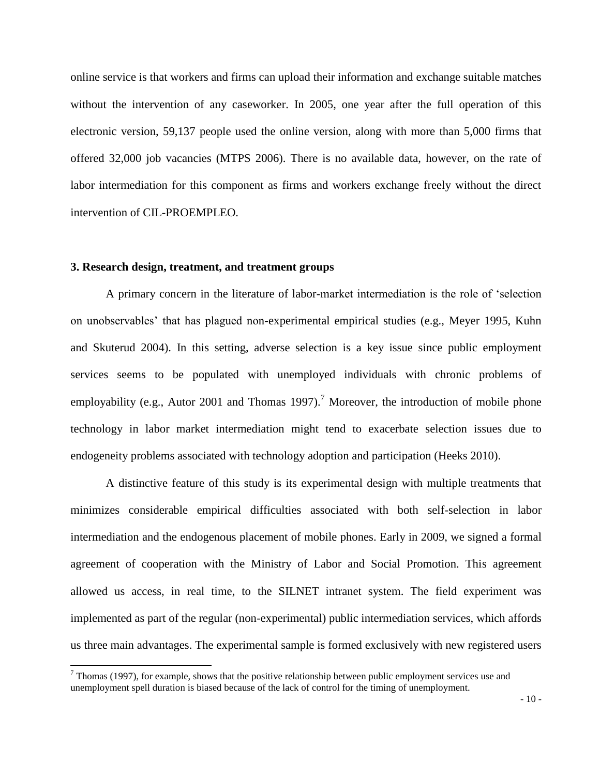online service is that workers and firms can upload their information and exchange suitable matches without the intervention of any caseworker. In 2005, one year after the full operation of this electronic version, 59,137 people used the online version, along with more than 5,000 firms that offered 32,000 job vacancies (MTPS 2006). There is no available data, however, on the rate of labor intermediation for this component as firms and workers exchange freely without the direct intervention of CIL-PROEMPLEO.

# **3. Research design, treatment, and treatment groups**

l

A primary concern in the literature of labor-market intermediation is the role of 'selection on unobservables' that has plagued non-experimental empirical studies (e.g., Meyer 1995, Kuhn and Skuterud 2004). In this setting, adverse selection is a key issue since public employment services seems to be populated with unemployed individuals with chronic problems of employability (e.g., Autor 2001 and Thomas 1997).<sup>7</sup> Moreover, the introduction of mobile phone technology in labor market intermediation might tend to exacerbate selection issues due to endogeneity problems associated with technology adoption and participation (Heeks 2010).

A distinctive feature of this study is its experimental design with multiple treatments that minimizes considerable empirical difficulties associated with both self-selection in labor intermediation and the endogenous placement of mobile phones. Early in 2009, we signed a formal agreement of cooperation with the Ministry of Labor and Social Promotion. This agreement allowed us access, in real time, to the SILNET intranet system. The field experiment was implemented as part of the regular (non-experimental) public intermediation services, which affords us three main advantages. The experimental sample is formed exclusively with new registered users

 $<sup>7</sup>$  Thomas (1997), for example, shows that the positive relationship between public employment services use and</sup> unemployment spell duration is biased because of the lack of control for the timing of unemployment.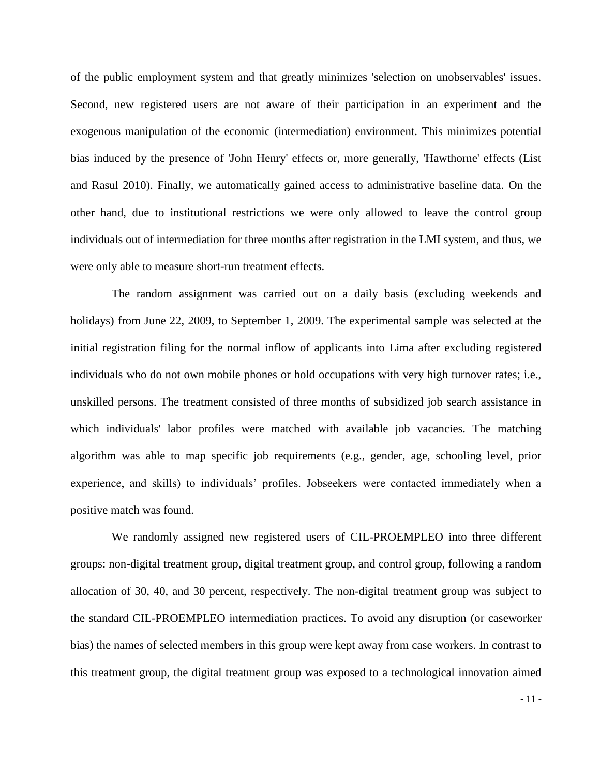of the public employment system and that greatly minimizes 'selection on unobservables' issues. Second, new registered users are not aware of their participation in an experiment and the exogenous manipulation of the economic (intermediation) environment. This minimizes potential bias induced by the presence of 'John Henry' effects or, more generally, 'Hawthorne' effects (List and Rasul 2010). Finally, we automatically gained access to administrative baseline data. On the other hand, due to institutional restrictions we were only allowed to leave the control group individuals out of intermediation for three months after registration in the LMI system, and thus, we were only able to measure short-run treatment effects.

 The random assignment was carried out on a daily basis (excluding weekends and holidays) from June 22, 2009, to September 1, 2009. The experimental sample was selected at the initial registration filing for the normal inflow of applicants into Lima after excluding registered individuals who do not own mobile phones or hold occupations with very high turnover rates; i.e., unskilled persons. The treatment consisted of three months of subsidized job search assistance in which individuals' labor profiles were matched with available job vacancies. The matching algorithm was able to map specific job requirements (e.g., gender, age, schooling level, prior experience, and skills) to individuals' profiles. Jobseekers were contacted immediately when a positive match was found.

 We randomly assigned new registered users of CIL-PROEMPLEO into three different groups: non-digital treatment group, digital treatment group, and control group, following a random allocation of 30, 40, and 30 percent, respectively. The non-digital treatment group was subject to the standard CIL-PROEMPLEO intermediation practices. To avoid any disruption (or caseworker bias) the names of selected members in this group were kept away from case workers. In contrast to this treatment group, the digital treatment group was exposed to a technological innovation aimed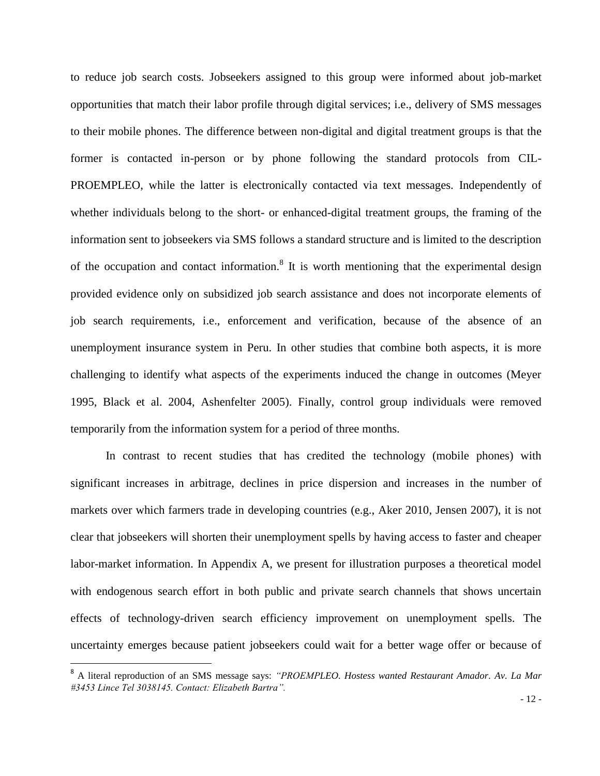to reduce job search costs. Jobseekers assigned to this group were informed about job-market opportunities that match their labor profile through digital services; i.e., delivery of SMS messages to their mobile phones. The difference between non-digital and digital treatment groups is that the former is contacted in-person or by phone following the standard protocols from CIL-PROEMPLEO, while the latter is electronically contacted via text messages. Independently of whether individuals belong to the short- or enhanced-digital treatment groups, the framing of the information sent to jobseekers via SMS follows a standard structure and is limited to the description of the occupation and contact information.<sup>8</sup> It is worth mentioning that the experimental design provided evidence only on subsidized job search assistance and does not incorporate elements of job search requirements, i.e., enforcement and verification, because of the absence of an unemployment insurance system in Peru. In other studies that combine both aspects, it is more challenging to identify what aspects of the experiments induced the change in outcomes (Meyer 1995, Black et al. 2004, Ashenfelter 2005). Finally, control group individuals were removed temporarily from the information system for a period of three months.

In contrast to recent studies that has credited the technology (mobile phones) with significant increases in arbitrage, declines in price dispersion and increases in the number of markets over which farmers trade in developing countries (e.g., Aker 2010, Jensen 2007), it is not clear that jobseekers will shorten their unemployment spells by having access to faster and cheaper labor-market information. In Appendix A, we present for illustration purposes a theoretical model with endogenous search effort in both public and private search channels that shows uncertain effects of technology-driven search efficiency improvement on unemployment spells. The uncertainty emerges because patient jobseekers could wait for a better wage offer or because of

 $\overline{a}$ 

<sup>8</sup> A literal reproduction of an SMS message says: *"PROEMPLEO. Hostess wanted Restaurant Amador. Av. La Mar #3453 Lince Tel 3038145. Contact: Elizabeth Bartra".*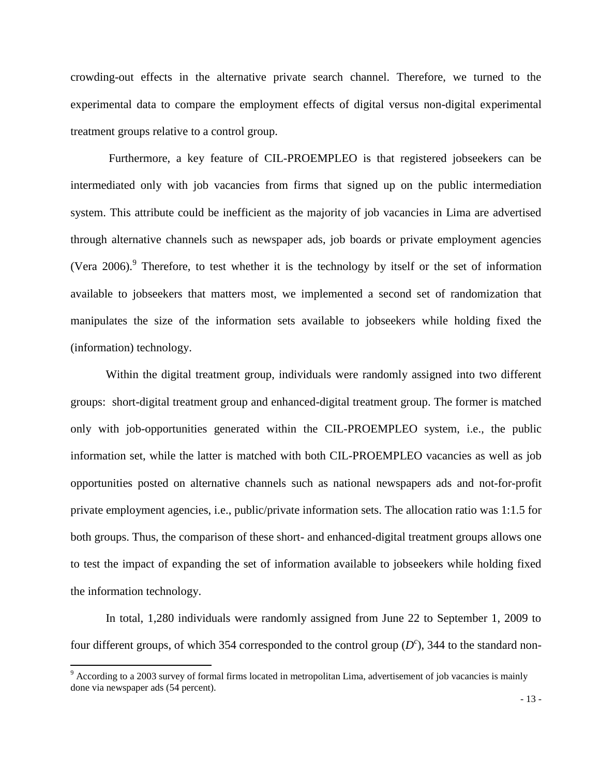crowding-out effects in the alternative private search channel. Therefore, we turned to the experimental data to compare the employment effects of digital versus non-digital experimental treatment groups relative to a control group.

Furthermore, a key feature of CIL-PROEMPLEO is that registered jobseekers can be intermediated only with job vacancies from firms that signed up on the public intermediation system. This attribute could be inefficient as the majority of job vacancies in Lima are advertised through alternative channels such as newspaper ads, job boards or private employment agencies (Vera 2006). <sup>9</sup> Therefore, to test whether it is the technology by itself or the set of information available to jobseekers that matters most, we implemented a second set of randomization that manipulates the size of the information sets available to jobseekers while holding fixed the (information) technology.

Within the digital treatment group, individuals were randomly assigned into two different groups: short-digital treatment group and enhanced-digital treatment group. The former is matched only with job-opportunities generated within the CIL-PROEMPLEO system, i.e., the public information set, while the latter is matched with both CIL-PROEMPLEO vacancies as well as job opportunities posted on alternative channels such as national newspapers ads and not-for-profit private employment agencies, i.e., public/private information sets. The allocation ratio was 1:1.5 for both groups. Thus, the comparison of these short- and enhanced-digital treatment groups allows one to test the impact of expanding the set of information available to jobseekers while holding fixed the information technology.

In total, 1,280 individuals were randomly assigned from June 22 to September 1, 2009 to four different groups, of which 354 corresponded to the control group  $(D^c)$ , 344 to the standard non-

l

<sup>9</sup> According to a 2003 survey of formal firms located in metropolitan Lima, advertisement of job vacancies is mainly done via newspaper ads (54 percent).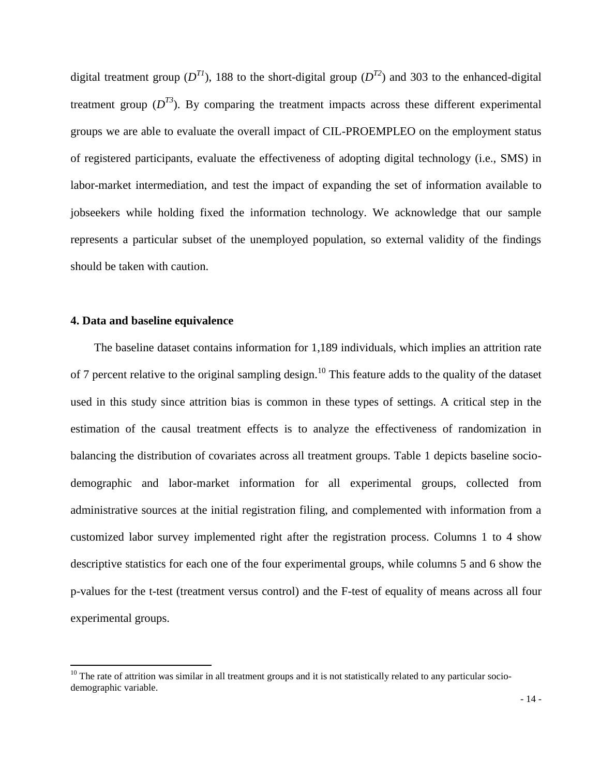digital treatment group  $(D^{T1})$ , 188 to the short-digital group  $(D^{T2})$  and 303 to the enhanced-digital treatment group  $(D^{T3})$ . By comparing the treatment impacts across these different experimental groups we are able to evaluate the overall impact of CIL-PROEMPLEO on the employment status of registered participants, evaluate the effectiveness of adopting digital technology (i.e., SMS) in labor-market intermediation, and test the impact of expanding the set of information available to jobseekers while holding fixed the information technology. We acknowledge that our sample represents a particular subset of the unemployed population, so external validity of the findings should be taken with caution.

# **4. Data and baseline equivalence**

l

 The baseline dataset contains information for 1,189 individuals, which implies an attrition rate of 7 percent relative to the original sampling design.<sup>10</sup> This feature adds to the quality of the dataset used in this study since attrition bias is common in these types of settings. A critical step in the estimation of the causal treatment effects is to analyze the effectiveness of randomization in balancing the distribution of covariates across all treatment groups. Table 1 depicts baseline sociodemographic and labor-market information for all experimental groups, collected from administrative sources at the initial registration filing, and complemented with information from a customized labor survey implemented right after the registration process. Columns 1 to 4 show descriptive statistics for each one of the four experimental groups, while columns 5 and 6 show the p-values for the t-test (treatment versus control) and the F-test of equality of means across all four experimental groups.

 $10$  The rate of attrition was similar in all treatment groups and it is not statistically related to any particular sociodemographic variable.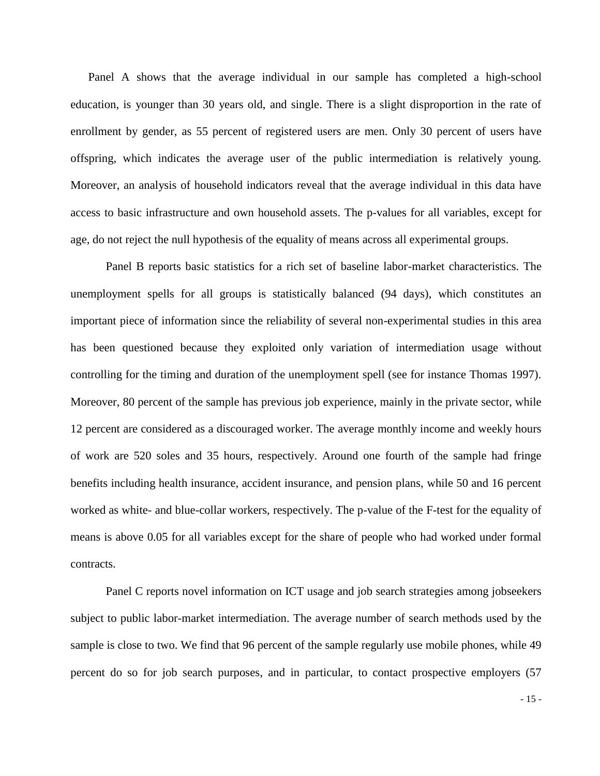Panel A shows that the average individual in our sample has completed a high-school education, is younger than 30 years old, and single. There is a slight disproportion in the rate of enrollment by gender, as 55 percent of registered users are men. Only 30 percent of users have offspring, which indicates the average user of the public intermediation is relatively young. Moreover, an analysis of household indicators reveal that the average individual in this data have access to basic infrastructure and own household assets. The p-values for all variables, except for age, do not reject the null hypothesis of the equality of means across all experimental groups.

Panel B reports basic statistics for a rich set of baseline labor-market characteristics. The unemployment spells for all groups is statistically balanced (94 days), which constitutes an important piece of information since the reliability of several non-experimental studies in this area has been questioned because they exploited only variation of intermediation usage without controlling for the timing and duration of the unemployment spell (see for instance Thomas 1997). Moreover, 80 percent of the sample has previous job experience, mainly in the private sector, while 12 percent are considered as a discouraged worker. The average monthly income and weekly hours of work are 520 soles and 35 hours, respectively. Around one fourth of the sample had fringe benefits including health insurance, accident insurance, and pension plans, while 50 and 16 percent worked as white- and blue-collar workers, respectively. The p-value of the F-test for the equality of means is above 0.05 for all variables except for the share of people who had worked under formal contracts.

Panel C reports novel information on ICT usage and job search strategies among jobseekers subject to public labor-market intermediation. The average number of search methods used by the sample is close to two. We find that 96 percent of the sample regularly use mobile phones, while 49 percent do so for job search purposes, and in particular, to contact prospective employers (57

- 15 -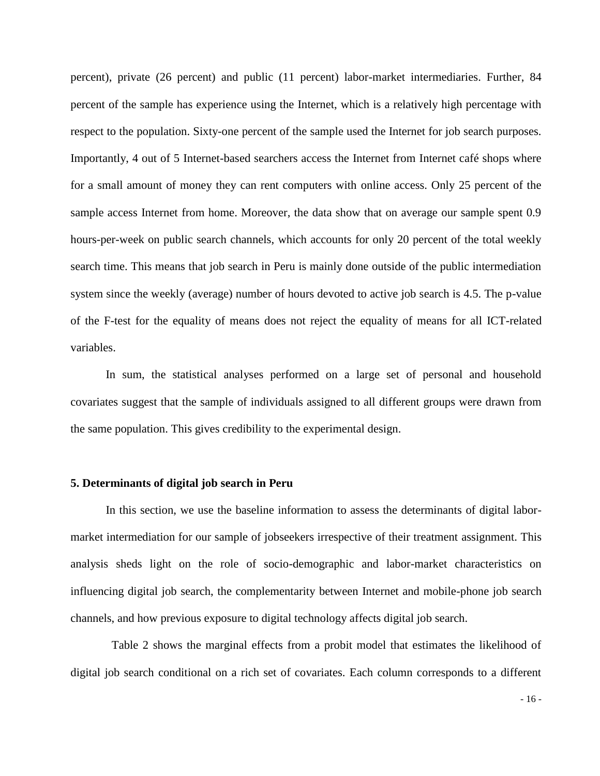percent), private (26 percent) and public (11 percent) labor-market intermediaries. Further, 84 percent of the sample has experience using the Internet, which is a relatively high percentage with respect to the population. Sixty-one percent of the sample used the Internet for job search purposes. Importantly, 4 out of 5 Internet-based searchers access the Internet from Internet café shops where for a small amount of money they can rent computers with online access. Only 25 percent of the sample access Internet from home. Moreover, the data show that on average our sample spent 0.9 hours-per-week on public search channels, which accounts for only 20 percent of the total weekly search time. This means that job search in Peru is mainly done outside of the public intermediation system since the weekly (average) number of hours devoted to active job search is 4.5. The p-value of the F-test for the equality of means does not reject the equality of means for all ICT-related variables.

In sum, the statistical analyses performed on a large set of personal and household covariates suggest that the sample of individuals assigned to all different groups were drawn from the same population. This gives credibility to the experimental design.

# **5. Determinants of digital job search in Peru**

In this section, we use the baseline information to assess the determinants of digital labormarket intermediation for our sample of jobseekers irrespective of their treatment assignment. This analysis sheds light on the role of socio-demographic and labor-market characteristics on influencing digital job search, the complementarity between Internet and mobile-phone job search channels, and how previous exposure to digital technology affects digital job search.

 Table 2 shows the marginal effects from a probit model that estimates the likelihood of digital job search conditional on a rich set of covariates. Each column corresponds to a different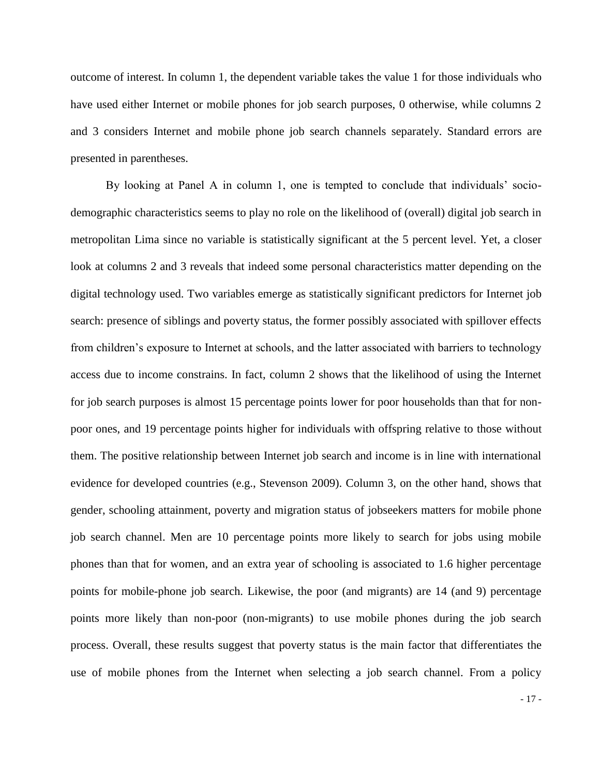outcome of interest. In column 1, the dependent variable takes the value 1 for those individuals who have used either Internet or mobile phones for job search purposes, 0 otherwise, while columns 2 and 3 considers Internet and mobile phone job search channels separately. Standard errors are presented in parentheses.

By looking at Panel A in column 1, one is tempted to conclude that individuals' sociodemographic characteristics seems to play no role on the likelihood of (overall) digital job search in metropolitan Lima since no variable is statistically significant at the 5 percent level. Yet, a closer look at columns 2 and 3 reveals that indeed some personal characteristics matter depending on the digital technology used. Two variables emerge as statistically significant predictors for Internet job search: presence of siblings and poverty status, the former possibly associated with spillover effects from children's exposure to Internet at schools, and the latter associated with barriers to technology access due to income constrains. In fact, column 2 shows that the likelihood of using the Internet for job search purposes is almost 15 percentage points lower for poor households than that for nonpoor ones, and 19 percentage points higher for individuals with offspring relative to those without them. The positive relationship between Internet job search and income is in line with international evidence for developed countries (e.g., Stevenson 2009). Column 3, on the other hand, shows that gender, schooling attainment, poverty and migration status of jobseekers matters for mobile phone job search channel. Men are 10 percentage points more likely to search for jobs using mobile phones than that for women, and an extra year of schooling is associated to 1.6 higher percentage points for mobile-phone job search. Likewise, the poor (and migrants) are 14 (and 9) percentage points more likely than non-poor (non-migrants) to use mobile phones during the job search process. Overall, these results suggest that poverty status is the main factor that differentiates the use of mobile phones from the Internet when selecting a job search channel. From a policy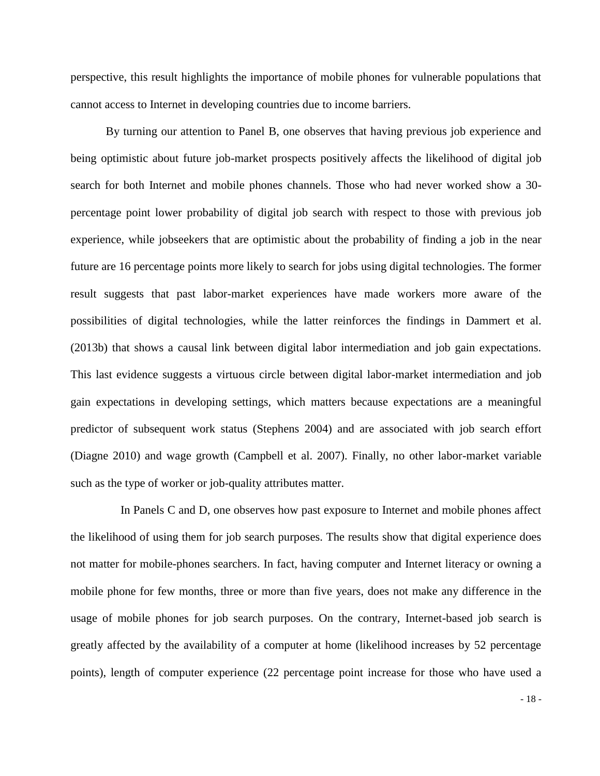perspective, this result highlights the importance of mobile phones for vulnerable populations that cannot access to Internet in developing countries due to income barriers.

By turning our attention to Panel B, one observes that having previous job experience and being optimistic about future job-market prospects positively affects the likelihood of digital job search for both Internet and mobile phones channels. Those who had never worked show a 30 percentage point lower probability of digital job search with respect to those with previous job experience, while jobseekers that are optimistic about the probability of finding a job in the near future are 16 percentage points more likely to search for jobs using digital technologies. The former result suggests that past labor-market experiences have made workers more aware of the possibilities of digital technologies, while the latter reinforces the findings in Dammert et al. (2013b) that shows a causal link between digital labor intermediation and job gain expectations. This last evidence suggests a virtuous circle between digital labor-market intermediation and job gain expectations in developing settings, which matters because expectations are a meaningful predictor of subsequent work status (Stephens 2004) and are associated with job search effort (Diagne 2010) and wage growth (Campbell et al. 2007). Finally, no other labor-market variable such as the type of worker or job-quality attributes matter.

 In Panels C and D, one observes how past exposure to Internet and mobile phones affect the likelihood of using them for job search purposes. The results show that digital experience does not matter for mobile-phones searchers. In fact, having computer and Internet literacy or owning a mobile phone for few months, three or more than five years, does not make any difference in the usage of mobile phones for job search purposes. On the contrary, Internet-based job search is greatly affected by the availability of a computer at home (likelihood increases by 52 percentage points), length of computer experience (22 percentage point increase for those who have used a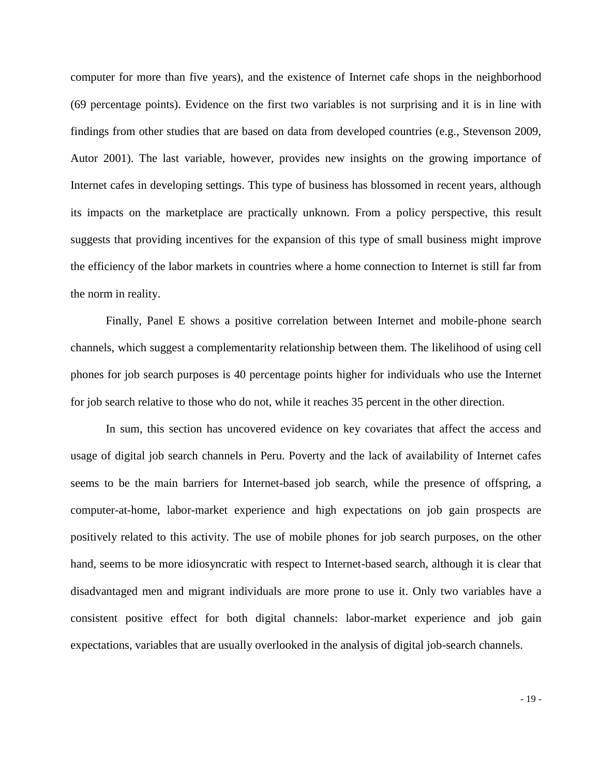computer for more than five years), and the existence of Internet cafe shops in the neighborhood (69 percentage points). Evidence on the first two variables is not surprising and it is in line with findings from other studies that are based on data from developed countries (e.g., Stevenson 2009, Autor 2001). The last variable, however, provides new insights on the growing importance of Internet cafes in developing settings. This type of business has blossomed in recent years, although its impacts on the marketplace are practically unknown. From a policy perspective, this result suggests that providing incentives for the expansion of this type of small business might improve the efficiency of the labor markets in countries where a home connection to Internet is still far from the norm in reality.

Finally, Panel E shows a positive correlation between Internet and mobile-phone search channels, which suggest a complementarity relationship between them. The likelihood of using cell phones for job search purposes is 40 percentage points higher for individuals who use the Internet for job search relative to those who do not, while it reaches 35 percent in the other direction.

In sum, this section has uncovered evidence on key covariates that affect the access and usage of digital job search channels in Peru. Poverty and the lack of availability of Internet cafes seems to be the main barriers for Internet-based job search, while the presence of offspring, a computer-at-home, labor-market experience and high expectations on job gain prospects are positively related to this activity. The use of mobile phones for job search purposes, on the other hand, seems to be more idiosyncratic with respect to Internet-based search, although it is clear that disadvantaged men and migrant individuals are more prone to use it. Only two variables have a consistent positive effect for both digital channels: labor-market experience and job gain expectations, variables that are usually overlooked in the analysis of digital job-search channels.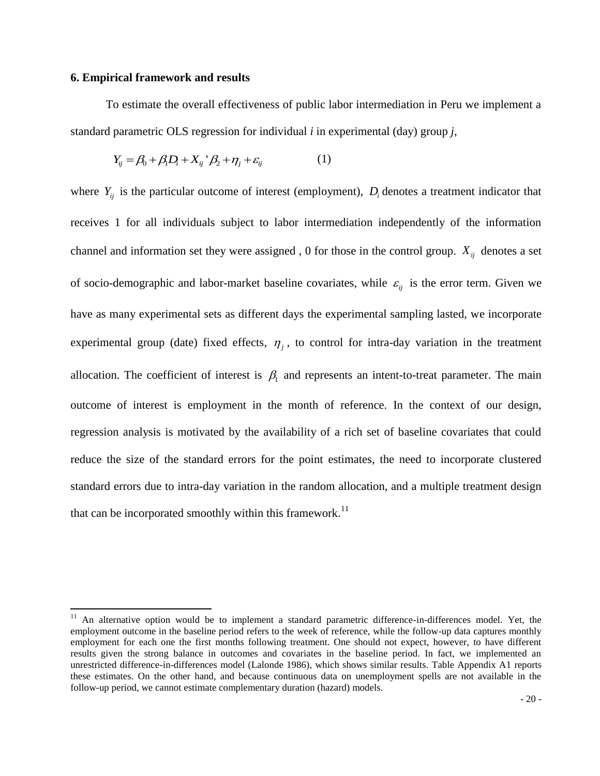#### **6. Empirical framework and results**

 $\overline{\phantom{a}}$ 

To estimate the overall effectiveness of public labor intermediation in Peru we implement a standard parametric OLS regression for individual *i* in experimental (day) group *j*,

$$
Y_{ij} = \beta_0 + \beta_1 D_i + X_{ij}^{\ \ \prime} \beta_2 + \eta_j + \varepsilon_{ij}
$$
 (1)

where  $Y_{ij}$  is the particular outcome of interest (employment),  $D_i$  denotes a treatment indicator that receives 1 for all individuals subject to labor intermediation independently of the information channel and information set they were assigned, 0 for those in the control group.  $X_{ij}$  denotes a set of socio-demographic and labor-market baseline covariates, while  $\varepsilon_{ij}$  is the error term. Given we have as many experimental sets as different days the experimental sampling lasted, we incorporate experimental group (date) fixed effects,  $\eta_j$ , to control for intra-day variation in the treatment allocation. The coefficient of interest is  $\beta_1$  and represents an intent-to-treat parameter. The main outcome of interest is employment in the month of reference. In the context of our design, regression analysis is motivated by the availability of a rich set of baseline covariates that could reduce the size of the standard errors for the point estimates, the need to incorporate clustered standard errors due to intra-day variation in the random allocation, and a multiple treatment design that can be incorporated smoothly within this framework.<sup>11</sup>

 $11$  An alternative option would be to implement a standard parametric difference-in-differences model. Yet, the employment outcome in the baseline period refers to the week of reference, while the follow-up data captures monthly employment for each one the first months following treatment. One should not expect, however, to have different results given the strong balance in outcomes and covariates in the baseline period. In fact, we implemented an unrestricted difference-in-differences model (Lalonde 1986), which shows similar results. Table Appendix A1 reports these estimates. On the other hand, and because continuous data on unemployment spells are not available in the follow-up period, we cannot estimate complementary duration (hazard) models.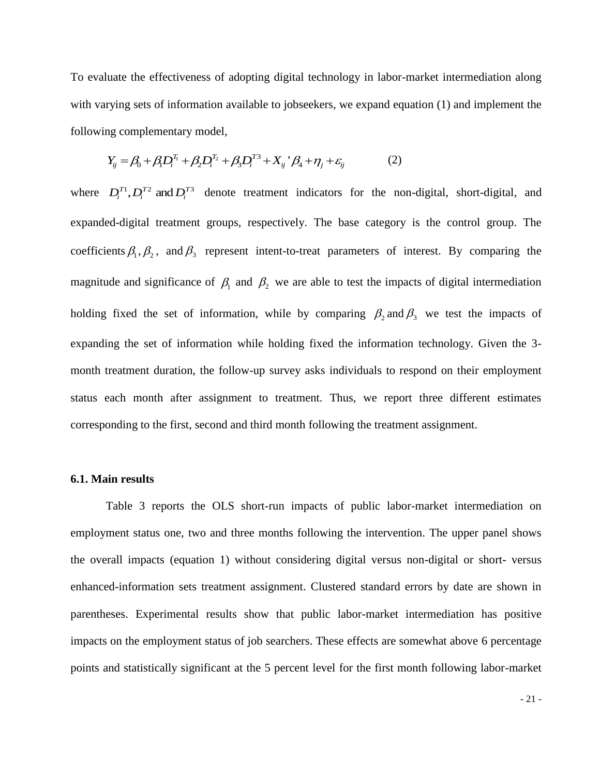To evaluate the effectiveness of adopting digital technology in labor-market intermediation along with varying sets of information available to jobseekers, we expand equation (1) and implement the following complementary model,

$$
Y_{ij} = \beta_0 + \beta_1 D_i^{T_1} + \beta_2 D_i^{T_2} + \beta_3 D_i^{T_3} + X_{ij}^{\ \ \ \prime} \beta_4 + \eta_j + \varepsilon_{ij}
$$
 (2)

where  $D_i^{T_1}, D_i^{T_2}$  and  $D_i^{T_3}$  denote treatment indicators for the non-digital, short-digital, and expanded-digital treatment groups, respectively. The base category is the control group. The coefficients  $\beta_1, \beta_2$ , and  $\beta_3$  represent intent-to-treat parameters of interest. By comparing the magnitude and significance of  $\beta_1$  and  $\beta_2$  we are able to test the impacts of digital intermediation holding fixed the set of information, while by comparing  $\beta_2$  and  $\beta_3$  we test the impacts of expanding the set of information while holding fixed the information technology. Given the 3 month treatment duration, the follow-up survey asks individuals to respond on their employment status each month after assignment to treatment. Thus, we report three different estimates corresponding to the first, second and third month following the treatment assignment.

# **6.1. Main results**

Table 3 reports the OLS short-run impacts of public labor-market intermediation on employment status one, two and three months following the intervention. The upper panel shows the overall impacts (equation 1) without considering digital versus non-digital or short- versus enhanced-information sets treatment assignment. Clustered standard errors by date are shown in parentheses. Experimental results show that public labor-market intermediation has positive impacts on the employment status of job searchers. These effects are somewhat above 6 percentage points and statistically significant at the 5 percent level for the first month following labor-market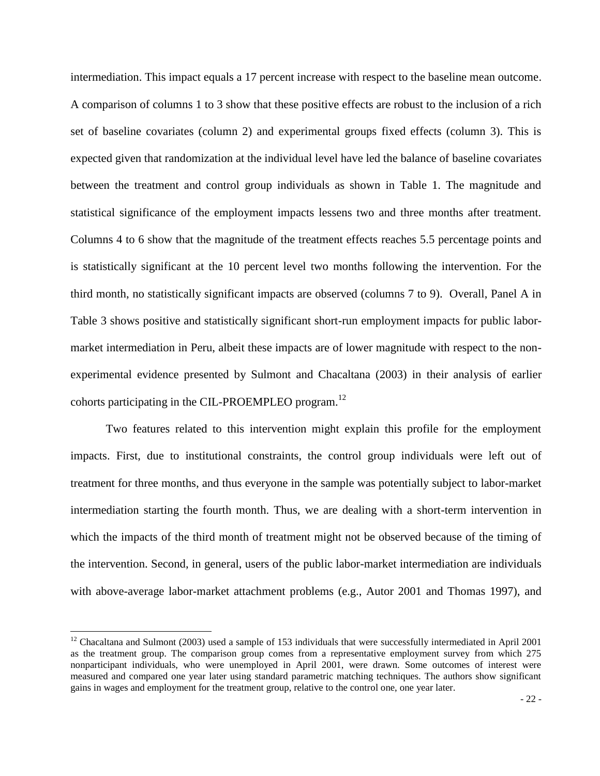intermediation. This impact equals a 17 percent increase with respect to the baseline mean outcome. A comparison of columns 1 to 3 show that these positive effects are robust to the inclusion of a rich set of baseline covariates (column 2) and experimental groups fixed effects (column 3). This is expected given that randomization at the individual level have led the balance of baseline covariates between the treatment and control group individuals as shown in Table 1. The magnitude and statistical significance of the employment impacts lessens two and three months after treatment. Columns 4 to 6 show that the magnitude of the treatment effects reaches 5.5 percentage points and is statistically significant at the 10 percent level two months following the intervention. For the third month, no statistically significant impacts are observed (columns 7 to 9). Overall, Panel A in Table 3 shows positive and statistically significant short-run employment impacts for public labormarket intermediation in Peru, albeit these impacts are of lower magnitude with respect to the nonexperimental evidence presented by Sulmont and Chacaltana (2003) in their analysis of earlier cohorts participating in the CIL-PROEMPLEO program.<sup>12</sup>

Two features related to this intervention might explain this profile for the employment impacts. First, due to institutional constraints, the control group individuals were left out of treatment for three months, and thus everyone in the sample was potentially subject to labor-market intermediation starting the fourth month. Thus, we are dealing with a short-term intervention in which the impacts of the third month of treatment might not be observed because of the timing of the intervention. Second, in general, users of the public labor-market intermediation are individuals with above-average labor-market attachment problems (e.g., Autor 2001 and Thomas 1997), and

 $\overline{a}$ 

 $12$  Chacaltana and Sulmont (2003) used a sample of 153 individuals that were successfully intermediated in April 2001 as the treatment group. The comparison group comes from a representative employment survey from which 275 nonparticipant individuals, who were unemployed in April 2001, were drawn. Some outcomes of interest were measured and compared one year later using standard parametric matching techniques. The authors show significant gains in wages and employment for the treatment group, relative to the control one, one year later.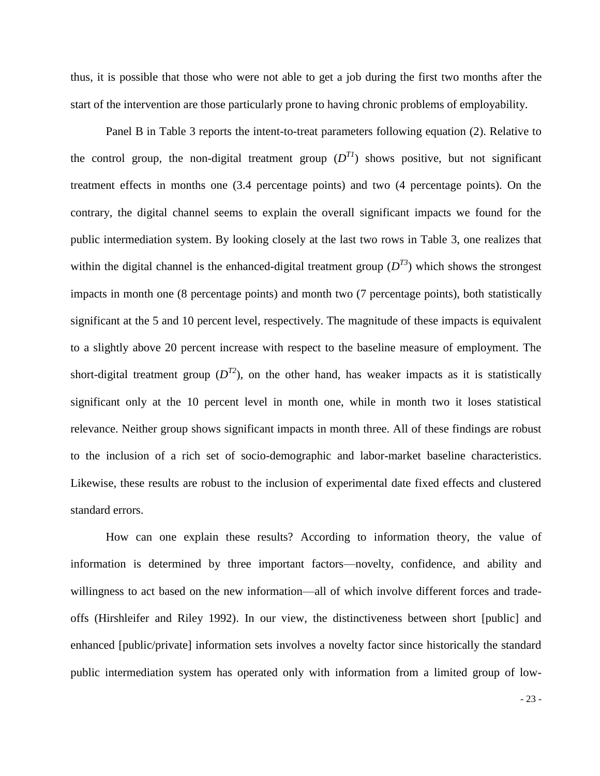thus, it is possible that those who were not able to get a job during the first two months after the start of the intervention are those particularly prone to having chronic problems of employability.

Panel B in Table 3 reports the intent-to-treat parameters following equation (2). Relative to the control group, the non-digital treatment group  $(D^{T_1})$  shows positive, but not significant treatment effects in months one (3.4 percentage points) and two (4 percentage points). On the contrary, the digital channel seems to explain the overall significant impacts we found for the public intermediation system. By looking closely at the last two rows in Table 3, one realizes that within the digital channel is the enhanced-digital treatment group  $(D^{T_3})$  which shows the strongest impacts in month one (8 percentage points) and month two (7 percentage points), both statistically significant at the 5 and 10 percent level, respectively. The magnitude of these impacts is equivalent to a slightly above 20 percent increase with respect to the baseline measure of employment. The short-digital treatment group  $(D^{T2})$ , on the other hand, has weaker impacts as it is statistically significant only at the 10 percent level in month one, while in month two it loses statistical relevance. Neither group shows significant impacts in month three. All of these findings are robust to the inclusion of a rich set of socio-demographic and labor-market baseline characteristics. Likewise, these results are robust to the inclusion of experimental date fixed effects and clustered standard errors.

How can one explain these results? According to information theory, the value of information is determined by three important factors—novelty, confidence, and ability and willingness to act based on the new information—all of which involve different forces and tradeoffs (Hirshleifer and Riley 1992). In our view, the distinctiveness between short [public] and enhanced [public/private] information sets involves a novelty factor since historically the standard public intermediation system has operated only with information from a limited group of low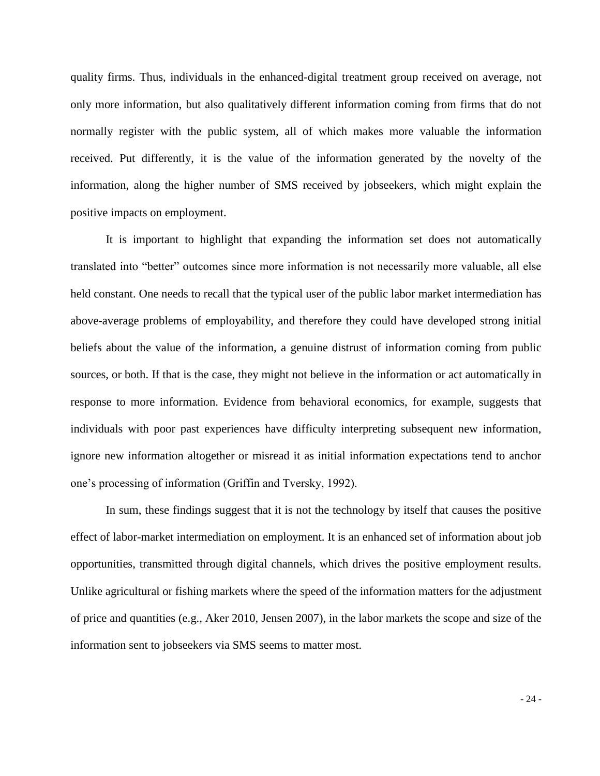quality firms. Thus, individuals in the enhanced-digital treatment group received on average, not only more information, but also qualitatively different information coming from firms that do not normally register with the public system, all of which makes more valuable the information received. Put differently, it is the value of the information generated by the novelty of the information, along the higher number of SMS received by jobseekers, which might explain the positive impacts on employment.

It is important to highlight that expanding the information set does not automatically translated into "better" outcomes since more information is not necessarily more valuable, all else held constant. One needs to recall that the typical user of the public labor market intermediation has above-average problems of employability, and therefore they could have developed strong initial beliefs about the value of the information, a genuine distrust of information coming from public sources, or both. If that is the case, they might not believe in the information or act automatically in response to more information. Evidence from behavioral economics, for example, suggests that individuals with poor past experiences have difficulty interpreting subsequent new information, ignore new information altogether or misread it as initial information expectations tend to anchor one's processing of information (Griffin and Tversky, 1992).

In sum, these findings suggest that it is not the technology by itself that causes the positive effect of labor-market intermediation on employment. It is an enhanced set of information about job opportunities, transmitted through digital channels, which drives the positive employment results. Unlike agricultural or fishing markets where the speed of the information matters for the adjustment of price and quantities (e.g., Aker 2010, Jensen 2007), in the labor markets the scope and size of the information sent to jobseekers via SMS seems to matter most.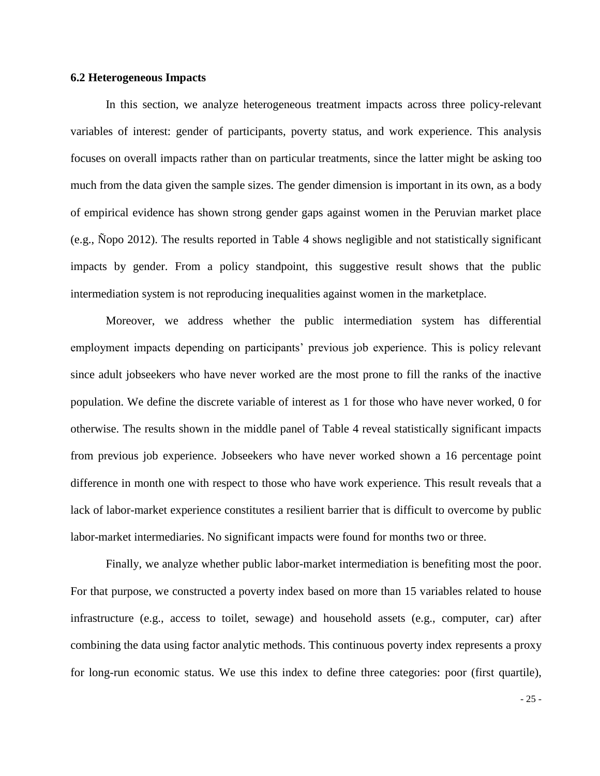# **6.2 Heterogeneous Impacts**

In this section, we analyze heterogeneous treatment impacts across three policy-relevant variables of interest: gender of participants, poverty status, and work experience. This analysis focuses on overall impacts rather than on particular treatments, since the latter might be asking too much from the data given the sample sizes. The gender dimension is important in its own, as a body of empirical evidence has shown strong gender gaps against women in the Peruvian market place (e.g., Ñopo 2012). The results reported in Table 4 shows negligible and not statistically significant impacts by gender. From a policy standpoint, this suggestive result shows that the public intermediation system is not reproducing inequalities against women in the marketplace.

Moreover, we address whether the public intermediation system has differential employment impacts depending on participants' previous job experience. This is policy relevant since adult jobseekers who have never worked are the most prone to fill the ranks of the inactive population. We define the discrete variable of interest as 1 for those who have never worked, 0 for otherwise. The results shown in the middle panel of Table 4 reveal statistically significant impacts from previous job experience. Jobseekers who have never worked shown a 16 percentage point difference in month one with respect to those who have work experience. This result reveals that a lack of labor-market experience constitutes a resilient barrier that is difficult to overcome by public labor-market intermediaries. No significant impacts were found for months two or three.

Finally, we analyze whether public labor-market intermediation is benefiting most the poor. For that purpose, we constructed a poverty index based on more than 15 variables related to house infrastructure (e.g., access to toilet, sewage) and household assets (e.g., computer, car) after combining the data using factor analytic methods. This continuous poverty index represents a proxy for long-run economic status. We use this index to define three categories: poor (first quartile),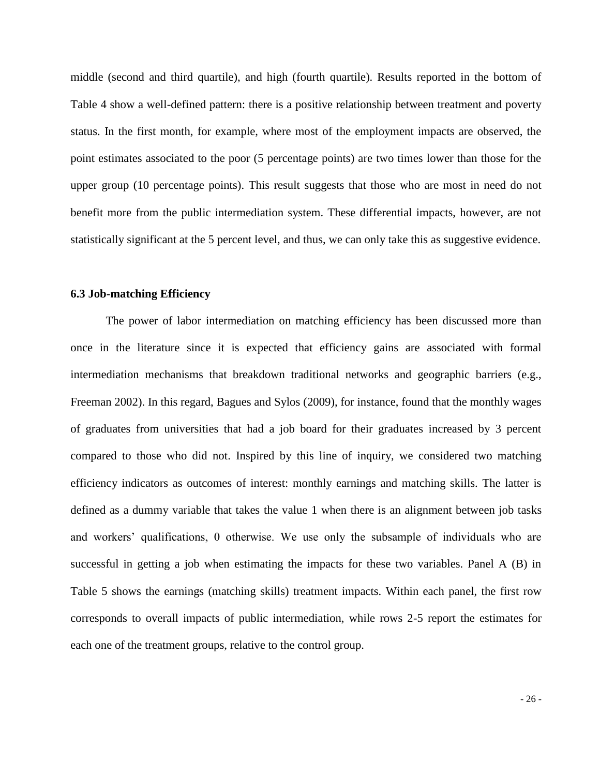middle (second and third quartile), and high (fourth quartile). Results reported in the bottom of Table 4 show a well-defined pattern: there is a positive relationship between treatment and poverty status. In the first month, for example, where most of the employment impacts are observed, the point estimates associated to the poor (5 percentage points) are two times lower than those for the upper group (10 percentage points). This result suggests that those who are most in need do not benefit more from the public intermediation system. These differential impacts, however, are not statistically significant at the 5 percent level, and thus, we can only take this as suggestive evidence.

## **6.3 Job-matching Efficiency**

The power of labor intermediation on matching efficiency has been discussed more than once in the literature since it is expected that efficiency gains are associated with formal intermediation mechanisms that breakdown traditional networks and geographic barriers (e.g., Freeman 2002). In this regard, Bagues and Sylos (2009), for instance, found that the monthly wages of graduates from universities that had a job board for their graduates increased by 3 percent compared to those who did not. Inspired by this line of inquiry, we considered two matching efficiency indicators as outcomes of interest: monthly earnings and matching skills. The latter is defined as a dummy variable that takes the value 1 when there is an alignment between job tasks and workers' qualifications, 0 otherwise. We use only the subsample of individuals who are successful in getting a job when estimating the impacts for these two variables. Panel A (B) in Table 5 shows the earnings (matching skills) treatment impacts. Within each panel, the first row corresponds to overall impacts of public intermediation, while rows 2-5 report the estimates for each one of the treatment groups, relative to the control group.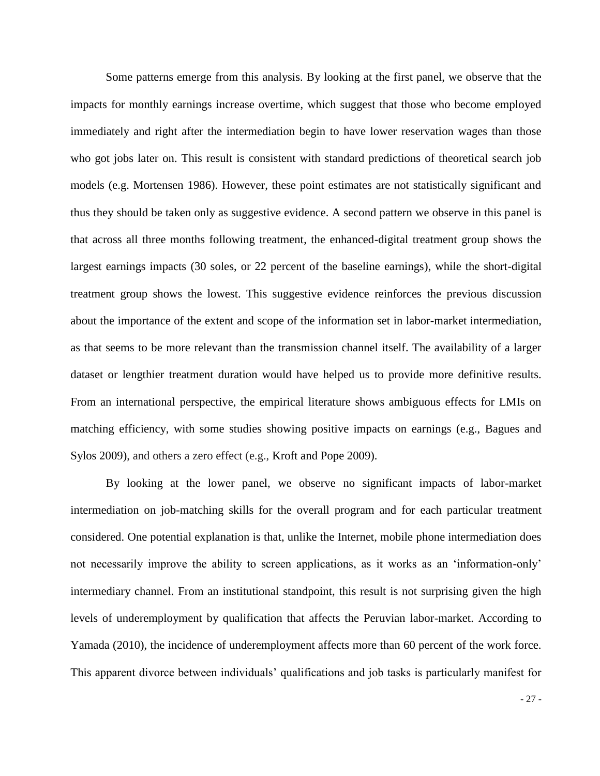Some patterns emerge from this analysis. By looking at the first panel, we observe that the impacts for monthly earnings increase overtime, which suggest that those who become employed immediately and right after the intermediation begin to have lower reservation wages than those who got jobs later on. This result is consistent with standard predictions of theoretical search job models (e.g. Mortensen 1986). However, these point estimates are not statistically significant and thus they should be taken only as suggestive evidence. A second pattern we observe in this panel is that across all three months following treatment, the enhanced-digital treatment group shows the largest earnings impacts (30 soles, or 22 percent of the baseline earnings), while the short-digital treatment group shows the lowest. This suggestive evidence reinforces the previous discussion about the importance of the extent and scope of the information set in labor-market intermediation, as that seems to be more relevant than the transmission channel itself. The availability of a larger dataset or lengthier treatment duration would have helped us to provide more definitive results. From an international perspective, the empirical literature shows ambiguous effects for LMIs on matching efficiency, with some studies showing positive impacts on earnings (e.g., Bagues and Sylos 2009), and others a zero effect (e.g., Kroft and Pope 2009).

By looking at the lower panel, we observe no significant impacts of labor-market intermediation on job-matching skills for the overall program and for each particular treatment considered. One potential explanation is that, unlike the Internet, mobile phone intermediation does not necessarily improve the ability to screen applications, as it works as an 'information-only' intermediary channel. From an institutional standpoint, this result is not surprising given the high levels of underemployment by qualification that affects the Peruvian labor-market. According to Yamada (2010), the incidence of underemployment affects more than 60 percent of the work force. This apparent divorce between individuals' qualifications and job tasks is particularly manifest for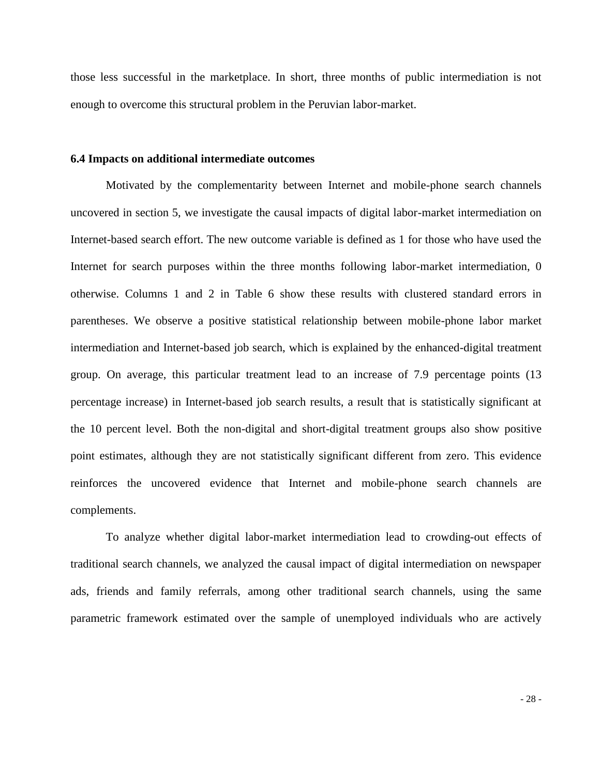those less successful in the marketplace. In short, three months of public intermediation is not enough to overcome this structural problem in the Peruvian labor-market.

#### **6.4 Impacts on additional intermediate outcomes**

Motivated by the complementarity between Internet and mobile-phone search channels uncovered in section 5, we investigate the causal impacts of digital labor-market intermediation on Internet-based search effort. The new outcome variable is defined as 1 for those who have used the Internet for search purposes within the three months following labor-market intermediation, 0 otherwise. Columns 1 and 2 in Table 6 show these results with clustered standard errors in parentheses. We observe a positive statistical relationship between mobile-phone labor market intermediation and Internet-based job search, which is explained by the enhanced-digital treatment group. On average, this particular treatment lead to an increase of 7.9 percentage points (13 percentage increase) in Internet-based job search results, a result that is statistically significant at the 10 percent level. Both the non-digital and short-digital treatment groups also show positive point estimates, although they are not statistically significant different from zero. This evidence reinforces the uncovered evidence that Internet and mobile-phone search channels are complements.

To analyze whether digital labor-market intermediation lead to crowding-out effects of traditional search channels, we analyzed the causal impact of digital intermediation on newspaper ads, friends and family referrals, among other traditional search channels, using the same parametric framework estimated over the sample of unemployed individuals who are actively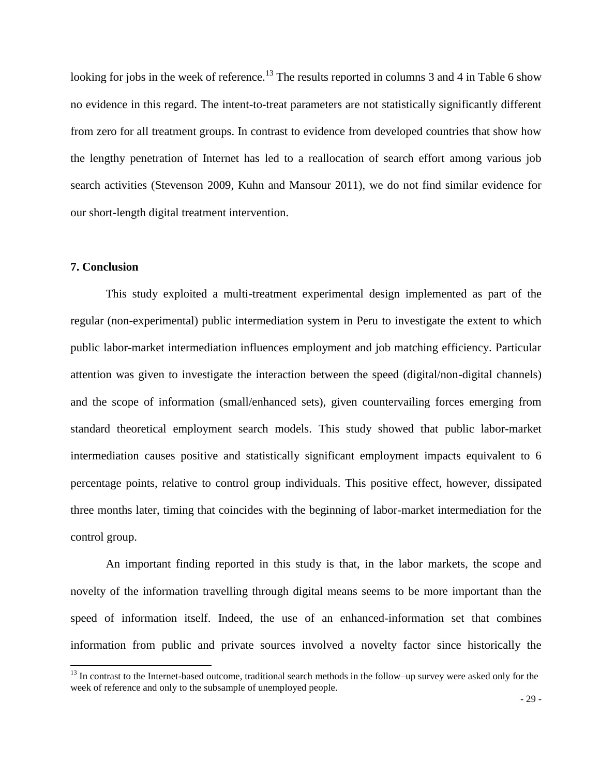looking for jobs in the week of reference.<sup>13</sup> The results reported in columns 3 and 4 in Table 6 show no evidence in this regard. The intent-to-treat parameters are not statistically significantly different from zero for all treatment groups. In contrast to evidence from developed countries that show how the lengthy penetration of Internet has led to a reallocation of search effort among various job search activities (Stevenson 2009, Kuhn and Mansour 2011), we do not find similar evidence for our short-length digital treatment intervention.

# **7. Conclusion**

l

This study exploited a multi-treatment experimental design implemented as part of the regular (non-experimental) public intermediation system in Peru to investigate the extent to which public labor-market intermediation influences employment and job matching efficiency. Particular attention was given to investigate the interaction between the speed (digital/non-digital channels) and the scope of information (small/enhanced sets), given countervailing forces emerging from standard theoretical employment search models. This study showed that public labor-market intermediation causes positive and statistically significant employment impacts equivalent to 6 percentage points, relative to control group individuals. This positive effect, however, dissipated three months later, timing that coincides with the beginning of labor-market intermediation for the control group.

An important finding reported in this study is that, in the labor markets, the scope and novelty of the information travelling through digital means seems to be more important than the speed of information itself. Indeed, the use of an enhanced-information set that combines information from public and private sources involved a novelty factor since historically the

<sup>&</sup>lt;sup>13</sup> In contrast to the Internet-based outcome, traditional search methods in the follow–up survey were asked only for the week of reference and only to the subsample of unemployed people.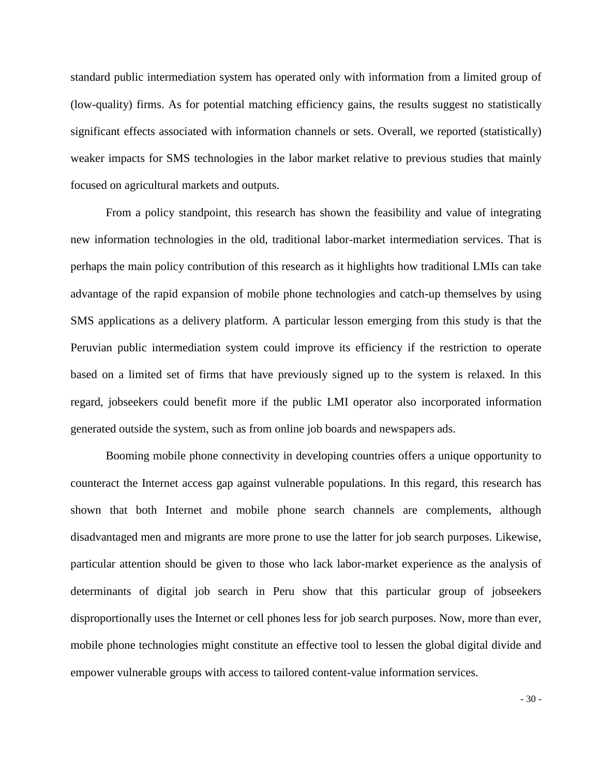standard public intermediation system has operated only with information from a limited group of (low-quality) firms. As for potential matching efficiency gains, the results suggest no statistically significant effects associated with information channels or sets. Overall, we reported (statistically) weaker impacts for SMS technologies in the labor market relative to previous studies that mainly focused on agricultural markets and outputs.

From a policy standpoint, this research has shown the feasibility and value of integrating new information technologies in the old, traditional labor-market intermediation services. That is perhaps the main policy contribution of this research as it highlights how traditional LMIs can take advantage of the rapid expansion of mobile phone technologies and catch-up themselves by using SMS applications as a delivery platform. A particular lesson emerging from this study is that the Peruvian public intermediation system could improve its efficiency if the restriction to operate based on a limited set of firms that have previously signed up to the system is relaxed. In this regard, jobseekers could benefit more if the public LMI operator also incorporated information generated outside the system, such as from online job boards and newspapers ads.

Booming mobile phone connectivity in developing countries offers a unique opportunity to counteract the Internet access gap against vulnerable populations. In this regard, this research has shown that both Internet and mobile phone search channels are complements, although disadvantaged men and migrants are more prone to use the latter for job search purposes. Likewise, particular attention should be given to those who lack labor-market experience as the analysis of determinants of digital job search in Peru show that this particular group of jobseekers disproportionally uses the Internet or cell phones less for job search purposes. Now, more than ever, mobile phone technologies might constitute an effective tool to lessen the global digital divide and empower vulnerable groups with access to tailored content-value information services.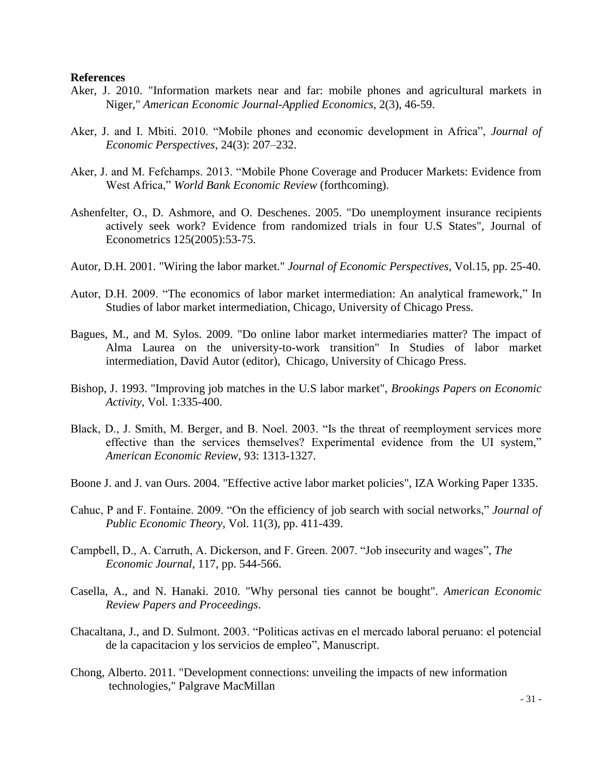#### **References**

- Aker, J. 2010. "Information markets near and far: mobile phones and agricultural markets in Niger," *American Economic Journal-Applied Economics*, 2(3), 46-59.
- Aker, J. and I. Mbiti. 2010. "Mobile phones and economic development in Africa", *Journal of Economic Perspectives*, 24(3): 207–232.
- Aker, J. and M. Fefchamps. 2013. ["Mobile Phone Coverage and Producer Markets: Evidence from](http://users.ox.ac.uk/~econ0087/mobiles.pdf)  [West Africa,"](http://users.ox.ac.uk/~econ0087/mobiles.pdf) *World Bank Economic Review* (forthcoming).
- Ashenfelter, O., D. Ashmore, and O. Deschenes. 2005. "Do unemployment insurance recipients actively seek work? Evidence from randomized trials in four U.S States", Journal of Econometrics 125(2005):53-75.
- Autor, D.H. 2001. "Wiring the labor market." *Journal of Economic Perspectives*, Vol.15, pp. 25-40.
- Autor, D.H. 2009. "The economics of labor market intermediation: An analytical framework," In Studies of labor market intermediation, Chicago, University of Chicago Press.
- Bagues, M., and M. Sylos. 2009. "Do online labor market intermediaries matter? The impact of Alma Laurea on the university-to-work transition" In Studies of labor market intermediation, David Autor (editor), Chicago, University of Chicago Press.
- Bishop, J. 1993. "Improving job matches in the U.S labor market", *Brookings Papers on Economic Activity,* Vol. 1:335-400.
- Black, D., J. Smith, M. Berger, and B. Noel. 2003. "Is the threat of reemployment services more effective than the services themselves? Experimental evidence from the UI system," *American Economic Review,* 93: 1313-1327.
- Boone J. and J. van Ours. 2004. "Effective active labor market policies", IZA Working Paper 1335.
- Cahuc, P and F. Fontaine. 2009. "On the efficiency of job search with social networks," *Journal of Public Economic Theory*, Vol. 11(3), pp. 411-439.
- Campbell, D., A. Carruth, A. Dickerson, and F. Green. 2007. "Job insecurity and wages", *The Economic Journal*, 117, pp. 544-566.
- Casella, A., and N. Hanaki. 2010. "Why personal ties cannot be bought". *American Economic Review Papers and Proceedings*.
- Chacaltana, J., and D. Sulmont. 2003. "Politicas activas en el mercado laboral peruano: el potencial de la capacitacion y los servicios de empleo", Manuscript.
- Chong, Alberto. 2011. "Development connections: unveiling the impacts of new information technologies," Palgrave MacMillan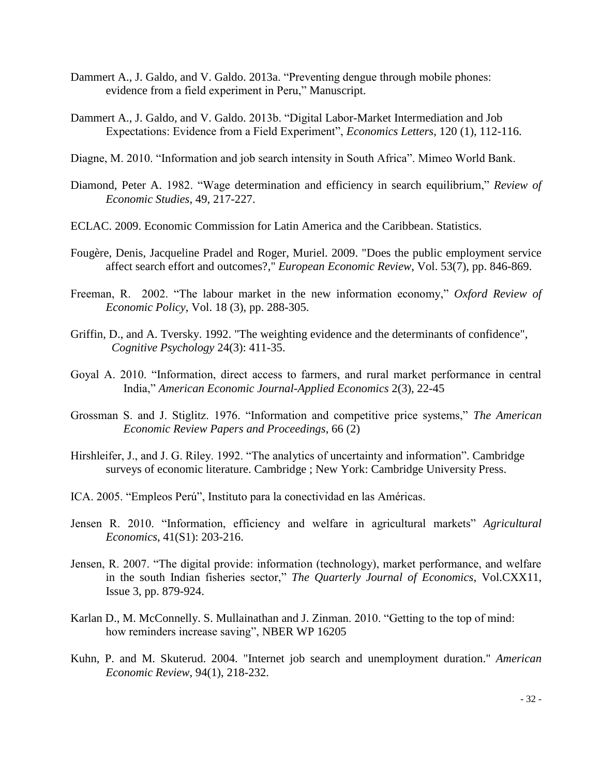- Dammert A., J. Galdo, and V. Galdo. 2013a. "Preventing dengue through mobile phones: evidence from a field experiment in Peru," Manuscript.
- Dammert A., J. Galdo, and V. Galdo. 2013b. "Digital Labor-Market Intermediation and Job Expectations: Evidence from a Field Experiment", *Economics Letters*, 120 (1), 112-116.
- Diagne, M. 2010. "Information and job search intensity in South Africa". Mimeo World Bank.
- Diamond, Peter A. 1982. "Wage determination and efficiency in search equilibrium," *Review of Economic Studies*, 49, 217-227.
- ECLAC. 2009. Economic Commission for Latin America and the Caribbean. Statistics.
- Fougère, Denis, Jacqueline Pradel and Roger, Muriel. 2009. ["Does the public employment service](http://ideas.repec.org/a/eee/eecrev/v53y2009i7p846-869.html)  [affect search effort and outcomes?,](http://ideas.repec.org/a/eee/eecrev/v53y2009i7p846-869.html)" *[European Economic Review](http://ideas.repec.org/s/eee/eecrev.html)*, Vol. 53(7), pp. 846-869.
- Freeman, R. 2002. "The labour market in the new information economy," *Oxford Review of Economic Policy*, Vol. 18 (3), pp. 288-305.
- Griffin, D., and A. Tversky. 1992. "The weighting evidence and the determinants of confidence", *Cognitive Psychology* 24(3): 411-35.
- Goyal A. 2010. "Information, direct access to farmers, and rural market performance in central India," *American Economic Journal-Applied Economics* 2(3), 22-45
- Grossman S. and J. Stiglitz. 1976. "Information and competitive price systems," *The American Economic Review Papers and Proceedings*, 66 (2)
- Hirshleifer, J., and J. G. Riley. 1992. "The analytics of uncertainty and information". Cambridge surveys of economic literature. Cambridge ; New York: Cambridge University Press.
- ICA. 2005. "Empleos Perú", Instituto para la conectividad en las Américas.
- Jensen R. 2010. "Information, efficiency and welfare in agricultural markets" *Agricultural Economics*, 41(S1): 203-216.
- Jensen, R. 2007. "The digital provide: information (technology), market performance, and welfare in the south Indian fisheries sector," *The Quarterly Journal of Economics*, Vol.CXX11, Issue 3, pp. 879-924.
- Karlan D., M. McConnelly. S. Mullainathan and J. Zinman. 2010. "Getting to the top of mind: how reminders increase saving", NBER WP 16205
- Kuhn, P. and M. Skuterud. 2004. "Internet job search and unemployment duration." *American Economic Review*, 94(1), 218-232.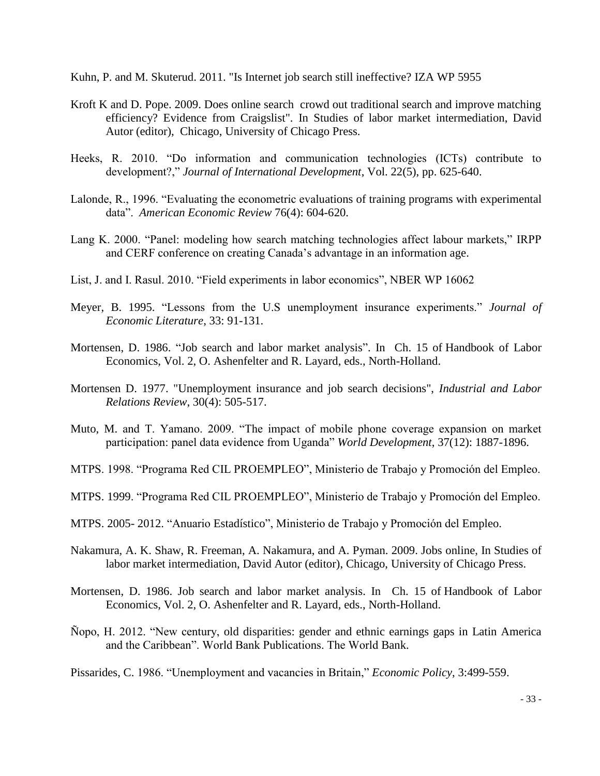Kuhn, P. and M. Skuterud. 2011. "Is Internet job search still ineffective? IZA WP 5955

- Kroft K and D. Pope. 2009. Does online search crowd out traditional search and improve matching efficiency? Evidence from Craigslist". In Studies of labor market intermediation, David Autor (editor), Chicago, University of Chicago Press.
- Heeks, R. 2010. "Do information and communication technologies (ICTs) contribute to development?," *Journal of International Development*, Vol. 22(5), pp. 625-640.
- Lalonde, R., 1996. "Evaluating the econometric evaluations of training programs with experimental data". *American Economic Review* 76(4): 604-620.
- Lang K. 2000. "Panel: modeling how search matching technologies affect labour markets," IRPP and CERF conference on creating Canada's advantage in an information age.
- List, J. and I. Rasul. 2010. "Field experiments in labor economics", NBER WP 16062
- Meyer, B. 1995. "Lessons from the U.S unemployment insurance experiments." *Journal of Economic Literature*, 33: 91-131.
- Mortensen, D. 1986. "Job search and labor market analysis". In Ch. 15 of Handbook of Labor Economics, Vol. 2, O. Ashenfelter and R. Layard, eds., North-Holland.
- Mortensen D. 1977. "Unemployment insurance and job search decisions", *Industrial and Labor Relations Review*, 30(4): 505-517.
- Muto, M. and T. Yamano. 2009. "The impact of mobile phone coverage expansion on market participation: panel data evidence from Uganda" *World Development*, 37(12): 1887-1896.
- MTPS. 1998. "Programa Red CIL PROEMPLEO", Ministerio de Trabajo y Promoción del Empleo.
- MTPS. 1999. "Programa Red CIL PROEMPLEO", Ministerio de Trabajo y Promoción del Empleo.
- MTPS. 2005- 2012. "Anuario Estadístico", Ministerio de Trabajo y Promoción del Empleo.
- Nakamura, A. K. Shaw, R. Freeman, A. Nakamura, and A. Pyman. 2009. Jobs online, In Studies of labor market intermediation, David Autor (editor), Chicago, University of Chicago Press.
- Mortensen, D. 1986. Job search and labor market analysis. In Ch. 15 of Handbook of Labor Economics, Vol. 2, O. Ashenfelter and R. Layard, eds., North-Holland.
- Ñopo, H. 2012. "New century, old disparities: gender and ethnic earnings gaps in Latin America and the Caribbean". World Bank Publications. The World Bank.

Pissarides, C. 1986. "Unemployment and vacancies in Britain," *Economic Policy*, 3:499-559.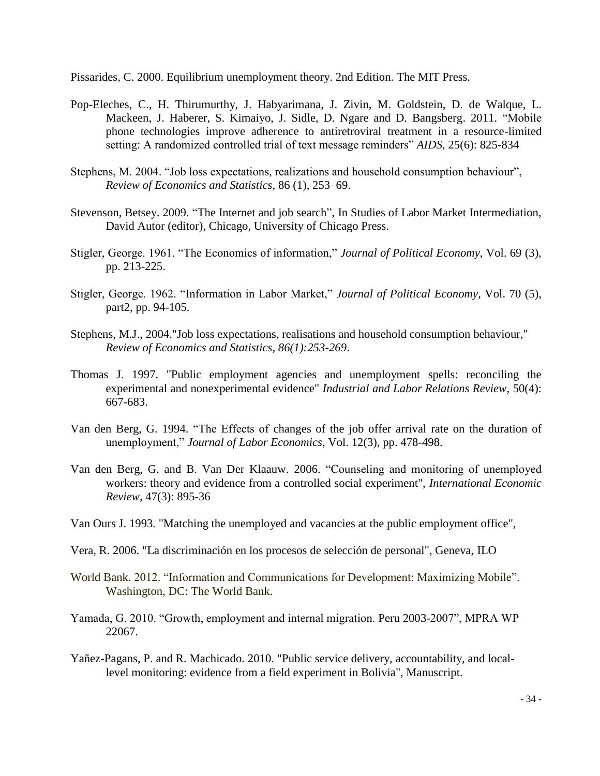Pissarides, C. 2000. Equilibrium unemployment theory. 2nd Edition. The MIT Press.

- Pop-Eleches, C., H. Thirumurthy, J. Habyarimana, J. Zivin, M. Goldstein, D. de Walque, L. Mackeen, J. Haberer, S. Kimaiyo, J. Sidle, D. Ngare and D. Bangsberg. 2011. "Mobile phone technologies improve adherence to antiretroviral treatment in a resource-limited setting: A randomized controlled trial of text message reminders" *AIDS*, 25(6): 825-834
- Stephens, M. 2004. "Job loss expectations, realizations and household consumption behaviour", *Review of Economics and Statistics*, 86 (1), 253–69.
- Stevenson, Betsey. 2009. "The Internet and job search", In Studies of Labor Market Intermediation, David Autor (editor), Chicago, University of Chicago Press.
- Stigler, George. 1961. "The Economics of information," *Journal of Political Economy*, Vol. 69 (3), pp. 213-225.
- Stigler, George. 1962. "Information in Labor Market," *Journal of Political Economy*, Vol. 70 (5), part2, pp. 94-105.
- Stephens, M.J., 2004."Job loss expectations, realisations and household consumption behaviour," *Review of Economics and Statistics, 86(1):253-269*.
- Thomas J. 1997. "Public employment agencies and unemployment spells: reconciling the experimental and nonexperimental evidence" *Industrial and Labor Relations Review*, 50(4): 667-683.
- Van den Berg, G. 1994. "The Effects of changes of the job offer arrival rate on the duration of unemployment," *Journal of Labor Economics*, Vol. 12(3), pp. 478-498.
- Van den Berg, G. and B. Van Der Klaauw. 2006. "Counseling and monitoring of unemployed workers: theory and evidence from a controlled social experiment", *International Economic Review*, 47(3): 895-36
- Van Ours J. 1993. "Matching the unemployed and vacancies at the public employment office",
- Vera, R. 2006. "La discriminación en los procesos de selección de personal", Geneva, ILO
- World Bank. 2012. "Information and Communications for Development: Maximizing Mobile". Washington, DC: The World Bank.
- Yamada, G. 2010. "Growth, employment and internal migration. Peru 2003-2007", MPRA WP 22067.
- Yañez-Pagans, P. and R. Machicado. 2010. "Public service delivery, accountability, and locallevel monitoring: evidence from a field experiment in Bolivia", Manuscript.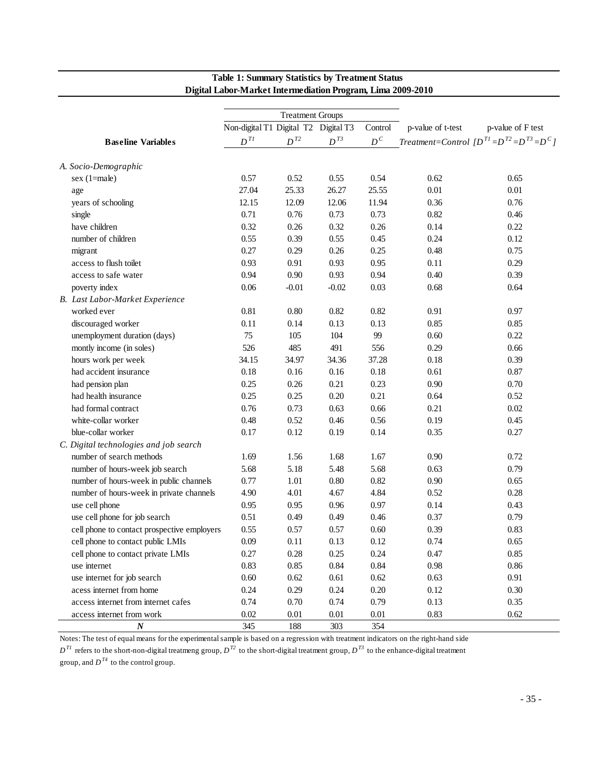|                                             |                                      | <b>Treatment Groups</b> |          |         |                   |                                                       |
|---------------------------------------------|--------------------------------------|-------------------------|----------|---------|-------------------|-------------------------------------------------------|
|                                             | Non-digital T1 Digital T2 Digital T3 |                         |          | Control | p-value of t-test | p-value of F test                                     |
| <b>Baseline Variables</b>                   | $\boldsymbol{D}^{TI}$                | $D^{T2}$                | $D^{T3}$ | $D^C$   |                   | Treatment=Control $[D^{T1} = D^{T2} = D^{T3} = D^{C}$ |
|                                             |                                      |                         |          |         |                   |                                                       |
| A. Socio-Demographic                        |                                      |                         |          |         |                   |                                                       |
| sex (1=male)                                | 0.57                                 | 0.52                    | 0.55     | 0.54    | 0.62              | 0.65                                                  |
| age                                         | 27.04                                | 25.33                   | 26.27    | 25.55   | 0.01              | 0.01                                                  |
| years of schooling                          | 12.15                                | 12.09                   | 12.06    | 11.94   | 0.36              | 0.76                                                  |
| single                                      | 0.71                                 | 0.76                    | 0.73     | 0.73    | 0.82              | 0.46                                                  |
| have children                               | 0.32                                 | 0.26                    | 0.32     | 0.26    | 0.14              | 0.22                                                  |
| number of children                          | 0.55                                 | 0.39                    | 0.55     | 0.45    | 0.24              | 0.12                                                  |
| migrant                                     | 0.27                                 | 0.29                    | 0.26     | 0.25    | 0.48              | 0.75                                                  |
| access to flush toilet                      | 0.93                                 | 0.91                    | 0.93     | 0.95    | 0.11              | 0.29                                                  |
| access to safe water                        | 0.94                                 | 0.90                    | 0.93     | 0.94    | 0.40              | 0.39                                                  |
| poverty index                               | 0.06                                 | $-0.01$                 | $-0.02$  | 0.03    | 0.68              | 0.64                                                  |
| B. Last Labor-Market Experience             |                                      |                         |          |         |                   |                                                       |
| worked ever                                 | 0.81                                 | $0.80\,$                | 0.82     | 0.82    | 0.91              | 0.97                                                  |
| discouraged worker                          | 0.11                                 | 0.14                    | 0.13     | 0.13    | 0.85              | 0.85                                                  |
| unemployment duration (days)                | 75                                   | 105                     | 104      | 99      | 0.60              | 0.22                                                  |
| montly income (in soles)                    | 526                                  | 485                     | 491      | 556     | 0.29              | 0.66                                                  |
| hours work per week                         | 34.15                                | 34.97                   | 34.36    | 37.28   | 0.18              | 0.39                                                  |
| had accident insurance                      | 0.18                                 | 0.16                    | 0.16     | 0.18    | 0.61              | 0.87                                                  |
| had pension plan                            | 0.25                                 | 0.26                    | 0.21     | 0.23    | 0.90              | 0.70                                                  |
| had health insurance                        | 0.25                                 | 0.25                    | 0.20     | 0.21    | 0.64              | 0.52                                                  |
| had formal contract                         | 0.76                                 | 0.73                    | 0.63     | 0.66    | 0.21              | $0.02\,$                                              |
| white-collar worker                         | 0.48                                 | 0.52                    | 0.46     | 0.56    | 0.19              | 0.45                                                  |
| blue-collar worker                          | 0.17                                 | 0.12                    | 0.19     | 0.14    | 0.35              | 0.27                                                  |
| C. Digital technologies and job search      |                                      |                         |          |         |                   |                                                       |
| number of search methods                    | 1.69                                 | 1.56                    | 1.68     | 1.67    | 0.90              | 0.72                                                  |
| number of hours-week job search             | 5.68                                 | 5.18                    | 5.48     | 5.68    | 0.63              | 0.79                                                  |
| number of hours-week in public channels     | 0.77                                 | 1.01                    | 0.80     | 0.82    | 0.90              | 0.65                                                  |
| number of hours-week in private channels    | 4.90                                 | 4.01                    | 4.67     | 4.84    | 0.52              | 0.28                                                  |
| use cell phone                              | 0.95                                 | 0.95                    | 0.96     | 0.97    | 0.14              | 0.43                                                  |
| use cell phone for job search               | 0.51                                 | 0.49                    | 0.49     | 0.46    | 0.37              | 0.79                                                  |
| cell phone to contact prospective employers | 0.55                                 | 0.57                    | 0.57     | 0.60    | 0.39              | 0.83                                                  |
| cell phone to contact public LMIs           | 0.09                                 | $0.11\,$                | 0.13     | 0.12    | 0.74              | 0.65                                                  |
| cell phone to contact private LMIs          | 0.27                                 | 0.28                    | 0.25     | 0.24    | 0.47              | 0.85                                                  |
| use internet                                | 0.83                                 | 0.85                    | 0.84     | 0.84    | 0.98              | 0.86                                                  |
| use internet for job search                 | 0.60                                 | 0.62                    | 0.61     | 0.62    | 0.63              | 0.91                                                  |
| acess internet from home                    | 0.24                                 | 0.29                    | 0.24     | 0.20    | 0.12              | 0.30                                                  |
| access internet from internet cafes         | 0.74                                 | 0.70                    | 0.74     | 0.79    | 0.13              | 0.35                                                  |
| access internet from work                   | 0.02                                 | 0.01                    | 0.01     | 0.01    | 0.83              | 0.62                                                  |
| $\boldsymbol{N}$                            | 345                                  | 188                     | 303      | 354     |                   |                                                       |

# **Table 1: Summary Statistics by Treatment Status Digital Labor-Market Intermediation Program, Lima 2009-2010**

Notes: The test of equal means for the experimental sample is based on a regression with treatment indicators on the right-hand side

 $D^{TI}$  refers to the short-non-digital treatmeng group,  $D^{T2}$  to the short-digital treatment group,  $D^{T3}$  to the enhance-digital treatment

group, and  $D^{T4}$  to the control group.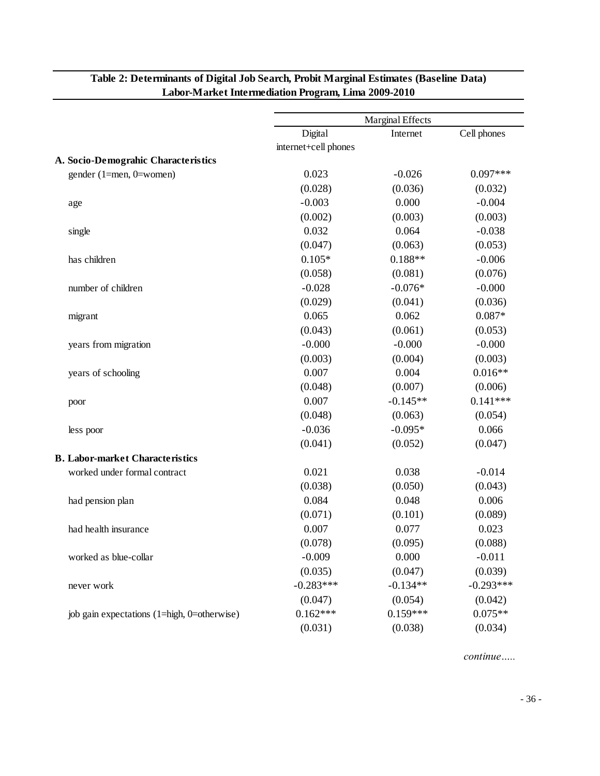|                    |                                             | Marginal Effects     |            |             |  |  |
|--------------------|---------------------------------------------|----------------------|------------|-------------|--|--|
|                    |                                             | Digital              | Internet   | Cell phones |  |  |
|                    |                                             | internet+cell phones |            |             |  |  |
|                    | A. Socio-Demograhic Characteristics         |                      |            |             |  |  |
|                    | gender (1=men, 0=women)                     | 0.023                | $-0.026$   | $0.097***$  |  |  |
|                    |                                             | (0.028)              | (0.036)    | (0.032)     |  |  |
| age                |                                             | $-0.003$             | 0.000      | $-0.004$    |  |  |
|                    |                                             | (0.002)              | (0.003)    | (0.003)     |  |  |
| single             |                                             | 0.032                | 0.064      | $-0.038$    |  |  |
|                    |                                             | (0.047)              | (0.063)    | (0.053)     |  |  |
| has children       |                                             | $0.105*$             | $0.188**$  | $-0.006$    |  |  |
|                    |                                             | (0.058)              | (0.081)    | (0.076)     |  |  |
| number of children |                                             | $-0.028$             | $-0.076*$  | $-0.000$    |  |  |
|                    |                                             | (0.029)              | (0.041)    | (0.036)     |  |  |
| migrant            |                                             | 0.065                | 0.062      | $0.087*$    |  |  |
|                    |                                             | (0.043)              | (0.061)    | (0.053)     |  |  |
|                    | years from migration                        | $-0.000$             | $-0.000$   | $-0.000$    |  |  |
|                    |                                             | (0.003)              | (0.004)    | (0.003)     |  |  |
| years of schooling |                                             | 0.007                | 0.004      | $0.016**$   |  |  |
|                    |                                             | (0.048)              | (0.007)    | (0.006)     |  |  |
| poor               |                                             | 0.007                | $-0.145**$ | $0.141***$  |  |  |
|                    |                                             | (0.048)              | (0.063)    | (0.054)     |  |  |
| less poor          |                                             | $-0.036$             | $-0.095*$  | 0.066       |  |  |
|                    |                                             | (0.041)              | (0.052)    | (0.047)     |  |  |
|                    | <b>B. Labor-market Characteristics</b>      |                      |            |             |  |  |
|                    | worked under formal contract                | 0.021                | 0.038      | $-0.014$    |  |  |
|                    |                                             | (0.038)              | (0.050)    | (0.043)     |  |  |
| had pension plan   |                                             | 0.084                | 0.048      | 0.006       |  |  |
|                    |                                             | (0.071)              | (0.101)    | (0.089)     |  |  |
|                    | had health insurance                        | 0.007                | 0.077      | 0.023       |  |  |
|                    |                                             | (0.078)              | (0.095)    | (0.088)     |  |  |
|                    | worked as blue-collar                       | $-0.009$             | 0.000      | $-0.011$    |  |  |
|                    |                                             | (0.035)              | (0.047)    | (0.039)     |  |  |
| never work         |                                             | $-0.283***$          | $-0.134**$ | $-0.293***$ |  |  |
|                    |                                             | (0.047)              | (0.054)    | (0.042)     |  |  |
|                    | job gain expectations (1=high, 0=otherwise) | $0.162***$           | $0.159***$ | $0.075**$   |  |  |
|                    |                                             | (0.031)              | (0.038)    | (0.034)     |  |  |
|                    |                                             |                      |            |             |  |  |

# **Table 2: Determinants of Digital Job Search, Probit Marginal Estimates (Baseline Data) Labor-Market Intermediation Program, Lima 2009-2010**

*continue…..*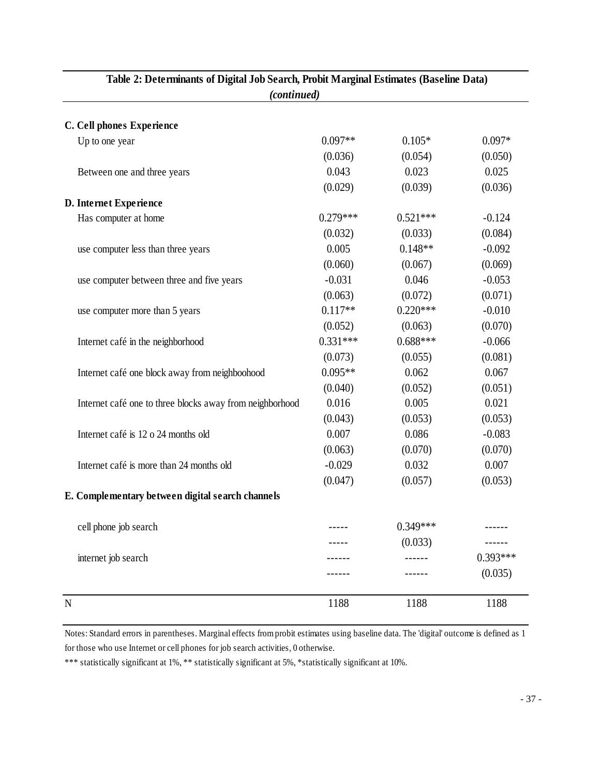| (continued)<br>C. Cell phones Experience<br>$0.097**$<br>$0.105*$<br>$0.097*$<br>Up to one year<br>(0.036)<br>(0.050)<br>(0.054)<br>0.043<br>0.023<br>0.025<br>Between one and three years<br>(0.029)<br>(0.039)<br>(0.036)<br>D. Internet Experience<br>$0.279***$<br>Has computer at home<br>$0.521***$<br>$-0.124$<br>(0.032)<br>(0.033)<br>(0.084)<br>0.005<br>$0.148**$<br>$-0.092$<br>use computer less than three years<br>(0.060)<br>(0.069)<br>(0.067)<br>0.046<br>$-0.031$<br>$-0.053$<br>use computer between three and five years<br>(0.063)<br>(0.072)<br>(0.071)<br>$0.117**$<br>$0.220***$<br>$-0.010$<br>use computer more than 5 years<br>(0.052)<br>(0.063)<br>(0.070)<br>$0.331***$<br>$0.688***$<br>$-0.066$<br>Internet café in the neighborhood<br>(0.073)<br>(0.055)<br>(0.081)<br>$0.095**$<br>0.062<br>0.067<br>Internet café one block away from neighboohood<br>(0.040)<br>(0.052)<br>(0.051)<br>0.016<br>0.005<br>0.021<br>Internet café one to three blocks away from neighborhood<br>(0.043)<br>(0.053)<br>(0.053)<br>0.007<br>0.086<br>$-0.083$<br>Internet café is 12 o 24 months old<br>(0.063)<br>(0.070)<br>(0.070)<br>0.007<br>$-0.029$<br>0.032<br>Internet café is more than 24 months old<br>(0.047)<br>(0.053)<br>(0.057)<br>E. Complementary between digital search channels<br>$0.349***$<br>cell phone job search<br>(0.033)<br>internet job search<br>(0.035) | Table 2: Determinants of Digital Job Search, Probit Marginal Estimates (Baseline Data) |      |      |            |  |  |  |  |
|-----------------------------------------------------------------------------------------------------------------------------------------------------------------------------------------------------------------------------------------------------------------------------------------------------------------------------------------------------------------------------------------------------------------------------------------------------------------------------------------------------------------------------------------------------------------------------------------------------------------------------------------------------------------------------------------------------------------------------------------------------------------------------------------------------------------------------------------------------------------------------------------------------------------------------------------------------------------------------------------------------------------------------------------------------------------------------------------------------------------------------------------------------------------------------------------------------------------------------------------------------------------------------------------------------------------------------------------------------------------------------------------------------------|----------------------------------------------------------------------------------------|------|------|------------|--|--|--|--|
|                                                                                                                                                                                                                                                                                                                                                                                                                                                                                                                                                                                                                                                                                                                                                                                                                                                                                                                                                                                                                                                                                                                                                                                                                                                                                                                                                                                                           |                                                                                        |      |      |            |  |  |  |  |
|                                                                                                                                                                                                                                                                                                                                                                                                                                                                                                                                                                                                                                                                                                                                                                                                                                                                                                                                                                                                                                                                                                                                                                                                                                                                                                                                                                                                           |                                                                                        |      |      |            |  |  |  |  |
|                                                                                                                                                                                                                                                                                                                                                                                                                                                                                                                                                                                                                                                                                                                                                                                                                                                                                                                                                                                                                                                                                                                                                                                                                                                                                                                                                                                                           |                                                                                        |      |      |            |  |  |  |  |
|                                                                                                                                                                                                                                                                                                                                                                                                                                                                                                                                                                                                                                                                                                                                                                                                                                                                                                                                                                                                                                                                                                                                                                                                                                                                                                                                                                                                           |                                                                                        |      |      |            |  |  |  |  |
|                                                                                                                                                                                                                                                                                                                                                                                                                                                                                                                                                                                                                                                                                                                                                                                                                                                                                                                                                                                                                                                                                                                                                                                                                                                                                                                                                                                                           |                                                                                        |      |      |            |  |  |  |  |
|                                                                                                                                                                                                                                                                                                                                                                                                                                                                                                                                                                                                                                                                                                                                                                                                                                                                                                                                                                                                                                                                                                                                                                                                                                                                                                                                                                                                           |                                                                                        |      |      |            |  |  |  |  |
|                                                                                                                                                                                                                                                                                                                                                                                                                                                                                                                                                                                                                                                                                                                                                                                                                                                                                                                                                                                                                                                                                                                                                                                                                                                                                                                                                                                                           |                                                                                        |      |      |            |  |  |  |  |
|                                                                                                                                                                                                                                                                                                                                                                                                                                                                                                                                                                                                                                                                                                                                                                                                                                                                                                                                                                                                                                                                                                                                                                                                                                                                                                                                                                                                           |                                                                                        |      |      |            |  |  |  |  |
|                                                                                                                                                                                                                                                                                                                                                                                                                                                                                                                                                                                                                                                                                                                                                                                                                                                                                                                                                                                                                                                                                                                                                                                                                                                                                                                                                                                                           |                                                                                        |      |      |            |  |  |  |  |
|                                                                                                                                                                                                                                                                                                                                                                                                                                                                                                                                                                                                                                                                                                                                                                                                                                                                                                                                                                                                                                                                                                                                                                                                                                                                                                                                                                                                           |                                                                                        |      |      |            |  |  |  |  |
|                                                                                                                                                                                                                                                                                                                                                                                                                                                                                                                                                                                                                                                                                                                                                                                                                                                                                                                                                                                                                                                                                                                                                                                                                                                                                                                                                                                                           |                                                                                        |      |      |            |  |  |  |  |
|                                                                                                                                                                                                                                                                                                                                                                                                                                                                                                                                                                                                                                                                                                                                                                                                                                                                                                                                                                                                                                                                                                                                                                                                                                                                                                                                                                                                           |                                                                                        |      |      |            |  |  |  |  |
|                                                                                                                                                                                                                                                                                                                                                                                                                                                                                                                                                                                                                                                                                                                                                                                                                                                                                                                                                                                                                                                                                                                                                                                                                                                                                                                                                                                                           |                                                                                        |      |      |            |  |  |  |  |
|                                                                                                                                                                                                                                                                                                                                                                                                                                                                                                                                                                                                                                                                                                                                                                                                                                                                                                                                                                                                                                                                                                                                                                                                                                                                                                                                                                                                           |                                                                                        |      |      |            |  |  |  |  |
|                                                                                                                                                                                                                                                                                                                                                                                                                                                                                                                                                                                                                                                                                                                                                                                                                                                                                                                                                                                                                                                                                                                                                                                                                                                                                                                                                                                                           |                                                                                        |      |      |            |  |  |  |  |
|                                                                                                                                                                                                                                                                                                                                                                                                                                                                                                                                                                                                                                                                                                                                                                                                                                                                                                                                                                                                                                                                                                                                                                                                                                                                                                                                                                                                           |                                                                                        |      |      |            |  |  |  |  |
|                                                                                                                                                                                                                                                                                                                                                                                                                                                                                                                                                                                                                                                                                                                                                                                                                                                                                                                                                                                                                                                                                                                                                                                                                                                                                                                                                                                                           |                                                                                        |      |      |            |  |  |  |  |
|                                                                                                                                                                                                                                                                                                                                                                                                                                                                                                                                                                                                                                                                                                                                                                                                                                                                                                                                                                                                                                                                                                                                                                                                                                                                                                                                                                                                           |                                                                                        |      |      |            |  |  |  |  |
|                                                                                                                                                                                                                                                                                                                                                                                                                                                                                                                                                                                                                                                                                                                                                                                                                                                                                                                                                                                                                                                                                                                                                                                                                                                                                                                                                                                                           |                                                                                        |      |      |            |  |  |  |  |
|                                                                                                                                                                                                                                                                                                                                                                                                                                                                                                                                                                                                                                                                                                                                                                                                                                                                                                                                                                                                                                                                                                                                                                                                                                                                                                                                                                                                           |                                                                                        |      |      |            |  |  |  |  |
|                                                                                                                                                                                                                                                                                                                                                                                                                                                                                                                                                                                                                                                                                                                                                                                                                                                                                                                                                                                                                                                                                                                                                                                                                                                                                                                                                                                                           |                                                                                        |      |      |            |  |  |  |  |
|                                                                                                                                                                                                                                                                                                                                                                                                                                                                                                                                                                                                                                                                                                                                                                                                                                                                                                                                                                                                                                                                                                                                                                                                                                                                                                                                                                                                           |                                                                                        |      |      |            |  |  |  |  |
|                                                                                                                                                                                                                                                                                                                                                                                                                                                                                                                                                                                                                                                                                                                                                                                                                                                                                                                                                                                                                                                                                                                                                                                                                                                                                                                                                                                                           |                                                                                        |      |      |            |  |  |  |  |
|                                                                                                                                                                                                                                                                                                                                                                                                                                                                                                                                                                                                                                                                                                                                                                                                                                                                                                                                                                                                                                                                                                                                                                                                                                                                                                                                                                                                           |                                                                                        |      |      |            |  |  |  |  |
|                                                                                                                                                                                                                                                                                                                                                                                                                                                                                                                                                                                                                                                                                                                                                                                                                                                                                                                                                                                                                                                                                                                                                                                                                                                                                                                                                                                                           |                                                                                        |      |      |            |  |  |  |  |
|                                                                                                                                                                                                                                                                                                                                                                                                                                                                                                                                                                                                                                                                                                                                                                                                                                                                                                                                                                                                                                                                                                                                                                                                                                                                                                                                                                                                           |                                                                                        |      |      |            |  |  |  |  |
|                                                                                                                                                                                                                                                                                                                                                                                                                                                                                                                                                                                                                                                                                                                                                                                                                                                                                                                                                                                                                                                                                                                                                                                                                                                                                                                                                                                                           |                                                                                        |      |      |            |  |  |  |  |
|                                                                                                                                                                                                                                                                                                                                                                                                                                                                                                                                                                                                                                                                                                                                                                                                                                                                                                                                                                                                                                                                                                                                                                                                                                                                                                                                                                                                           |                                                                                        |      |      |            |  |  |  |  |
|                                                                                                                                                                                                                                                                                                                                                                                                                                                                                                                                                                                                                                                                                                                                                                                                                                                                                                                                                                                                                                                                                                                                                                                                                                                                                                                                                                                                           |                                                                                        |      |      |            |  |  |  |  |
|                                                                                                                                                                                                                                                                                                                                                                                                                                                                                                                                                                                                                                                                                                                                                                                                                                                                                                                                                                                                                                                                                                                                                                                                                                                                                                                                                                                                           |                                                                                        |      |      | $0.393***$ |  |  |  |  |
|                                                                                                                                                                                                                                                                                                                                                                                                                                                                                                                                                                                                                                                                                                                                                                                                                                                                                                                                                                                                                                                                                                                                                                                                                                                                                                                                                                                                           |                                                                                        |      |      |            |  |  |  |  |
|                                                                                                                                                                                                                                                                                                                                                                                                                                                                                                                                                                                                                                                                                                                                                                                                                                                                                                                                                                                                                                                                                                                                                                                                                                                                                                                                                                                                           | N                                                                                      | 1188 | 1188 | 1188       |  |  |  |  |

Notes: Standard errors in parentheses. Marginal effects from probit estimates using baseline data. The 'digital' outcome is defined as 1 for those who use Internet or cell phones for job search activities, 0 otherwise.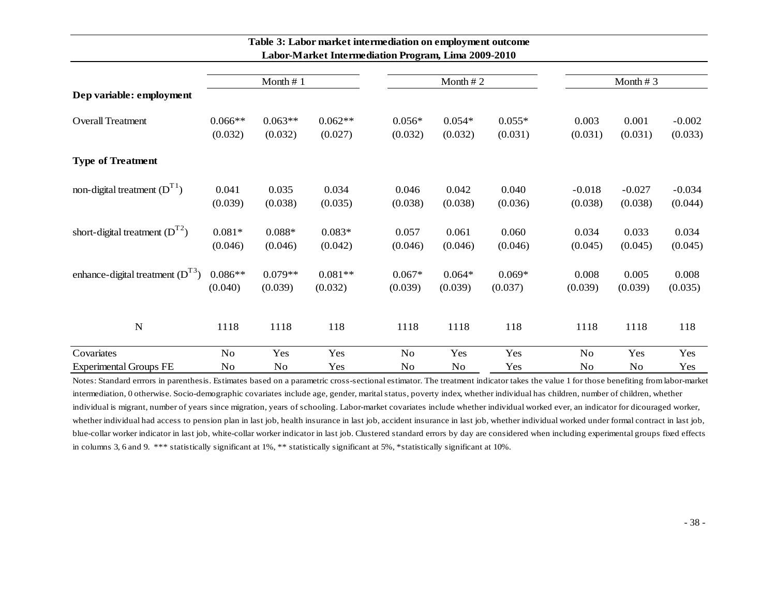|                                      |           | Month $# 1$ |           |          | Month $# 2$ |          |          | Month $# 3$ |          |
|--------------------------------------|-----------|-------------|-----------|----------|-------------|----------|----------|-------------|----------|
| Dep variable: employment             |           |             |           |          |             |          |          |             |          |
| <b>Overall Treatment</b>             | $0.066**$ | $0.063**$   | $0.062**$ | $0.056*$ | $0.054*$    | $0.055*$ | 0.003    | 0.001       | $-0.002$ |
|                                      | (0.032)   | (0.032)     | (0.027)   | (0.032)  | (0.032)     | (0.031)  | (0.031)  | (0.031)     | (0.033)  |
| <b>Type of Treatment</b>             |           |             |           |          |             |          |          |             |          |
| non-digital treatment $(D^{T1})$     | 0.041     | 0.035       | 0.034     | 0.046    | 0.042       | 0.040    | $-0.018$ | $-0.027$    | $-0.034$ |
|                                      | (0.039)   | (0.038)     | (0.035)   | (0.038)  | (0.038)     | (0.036)  | (0.038)  | (0.038)     | (0.044)  |
| short-digital treatment $(D^{T2})$   | $0.081*$  | $0.088*$    | $0.083*$  | 0.057    | 0.061       | 0.060    | 0.034    | 0.033       | 0.034    |
|                                      | (0.046)   | (0.046)     | (0.042)   | (0.046)  | (0.046)     | (0.046)  | (0.045)  | (0.045)     | (0.045)  |
| enhance-digital treatment $(D^{T3})$ | $0.086**$ | $0.079**$   | $0.081**$ | $0.067*$ | $0.064*$    | $0.069*$ | 0.008    | 0.005       | 0.008    |
|                                      | (0.040)   | (0.039)     | (0.032)   | (0.039)  | (0.039)     | (0.037)  | (0.039)  | (0.039)     | (0.035)  |
| $\mathbf N$                          | 1118      | 1118        | 118       | 1118     | 1118        | 118      | 1118     | 1118        | 118      |
| Covariates                           | No        | Yes         | Yes       | No       | Yes         | Yes      | No       | Yes         | Yes      |
| <b>Experimental Groups FE</b>        | No        | No          | Yes       | No       | No          | Yes      | No       | No          | Yes      |

# **Table 3: Labor market intermediation on employment outcome Labor-Market Intermediation Program, Lima 2009-2010**

Notes: Standard errrors in parenthesis. Estimates based on a parametric cross-sectional estimator. The treatment indicator takes the value 1 for those benefiting from labor-market intermediation, 0 otherwise. Socio-demographic covariates include age, gender, marital status, poverty index, whether individual has children, number of children, whether individual is migrant, number of years since migration, years of schooling. Labor-market covariates include whether individual worked ever, an indicator for dicouraged worker, whether individual had access to pension plan in last job, health insurance in last job, accident insurance in last job, whether individual worked under formal contract in last job, blue-collar worker indicator in last job, white-collar worker indicator in last job. Clustered standard errors by day are considered when including experimental groups fixed effects in columns 3, 6 and 9. \*\*\* statistically significant at 1%, \*\* statistically significant at 5%, \*statistically significant at 10%.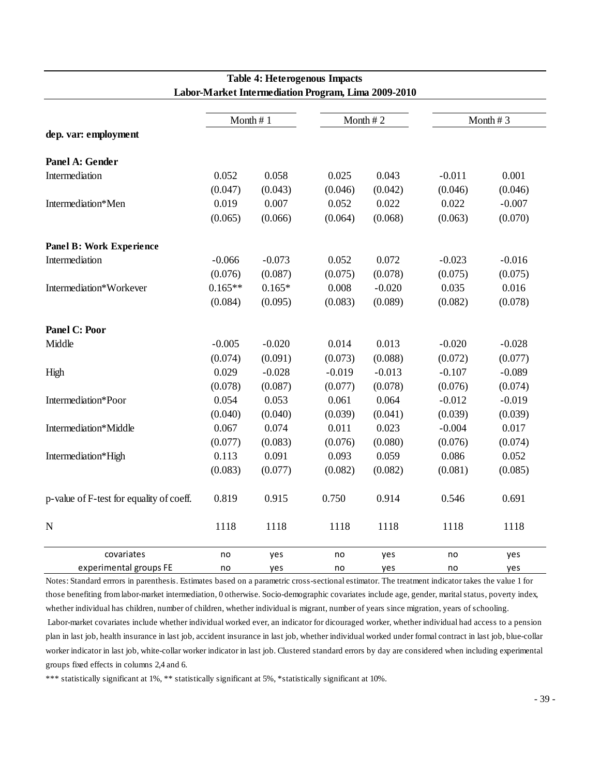|                                          |           |          | 20001 -Market Mitchik Giauon I rogram, 12010 2007 2016 |          |          |          |
|------------------------------------------|-----------|----------|--------------------------------------------------------|----------|----------|----------|
|                                          |           | Month #1 |                                                        | Month #2 |          | Month #3 |
| dep. var: employment                     |           |          |                                                        |          |          |          |
| Panel A: Gender                          |           |          |                                                        |          |          |          |
| Intermediation                           | 0.052     | 0.058    | 0.025                                                  | 0.043    | $-0.011$ | 0.001    |
|                                          | (0.047)   | (0.043)  | (0.046)                                                | (0.042)  | (0.046)  | (0.046)  |
| Intermediation*Men                       | 0.019     | 0.007    | 0.052                                                  | 0.022    | 0.022    | $-0.007$ |
|                                          | (0.065)   | (0.066)  | (0.064)                                                | (0.068)  | (0.063)  | (0.070)  |
| Panel B: Work Experience                 |           |          |                                                        |          |          |          |
| Intermediation                           | $-0.066$  | $-0.073$ | 0.052                                                  | 0.072    | $-0.023$ | $-0.016$ |
|                                          | (0.076)   | (0.087)  | (0.075)                                                | (0.078)  | (0.075)  | (0.075)  |
| Intermediation*Workever                  | $0.165**$ | $0.165*$ | 0.008                                                  | $-0.020$ | 0.035    | 0.016    |
|                                          | (0.084)   | (0.095)  | (0.083)                                                | (0.089)  | (0.082)  | (0.078)  |
| <b>Panel C: Poor</b>                     |           |          |                                                        |          |          |          |
| Middle                                   | $-0.005$  | $-0.020$ | 0.014                                                  | 0.013    | $-0.020$ | $-0.028$ |
|                                          | (0.074)   | (0.091)  | (0.073)                                                | (0.088)  | (0.072)  | (0.077)  |
| High                                     | 0.029     | $-0.028$ | $-0.019$                                               | $-0.013$ | $-0.107$ | $-0.089$ |
|                                          | (0.078)   | (0.087)  | (0.077)                                                | (0.078)  | (0.076)  | (0.074)  |
| Intermediation*Poor                      | 0.054     | 0.053    | 0.061                                                  | 0.064    | $-0.012$ | $-0.019$ |
|                                          | (0.040)   | (0.040)  | (0.039)                                                | (0.041)  | (0.039)  | (0.039)  |
| Intermediation*Middle                    | 0.067     | 0.074    | 0.011                                                  | 0.023    | $-0.004$ | 0.017    |
|                                          | (0.077)   | (0.083)  | (0.076)                                                | (0.080)  | (0.076)  | (0.074)  |
| Intermediation*High                      | 0.113     | 0.091    | 0.093                                                  | 0.059    | 0.086    | 0.052    |
|                                          | (0.083)   | (0.077)  | (0.082)                                                | (0.082)  | (0.081)  | (0.085)  |
| p-value of F-test for equality of coeff. | 0.819     | 0.915    | 0.750                                                  | 0.914    | 0.546    | 0.691    |
| $\mathbf N$                              | 1118      | 1118     | 1118                                                   | 1118     | 1118     | 1118     |
| covariates                               | no        | yes      | no                                                     | yes      | no       | yes      |
| experimental groups FE                   | no        | yes      | no                                                     | yes      | no       | yes      |

# **Table 4: Heterogenous Impacts Labor-Market Intermediation Program, Lima 2009-2010**

Notes: Standard errrors in parenthesis. Estimates based on a parametric cross-sectional estimator. The treatment indicator takes the value 1 for those benefiting from labor-market intermediation, 0 otherwise. Socio-demographic covariates include age, gender, marital status, poverty index, whether individual has children, number of children, whether individual is migrant, number of years since migration, years of schooling. Labor-market covariates include whether individual worked ever, an indicator for dicouraged worker, whether individual had access to a pension plan in last job, health insurance in last job, accident insurance in last job, whether individual worked under formal contract in last job, blue-collar worker indicator in last job, white-collar worker indicator in last job. Clustered standard errors by day are considered when including experimental groups fixed effects in columns 2,4 and 6.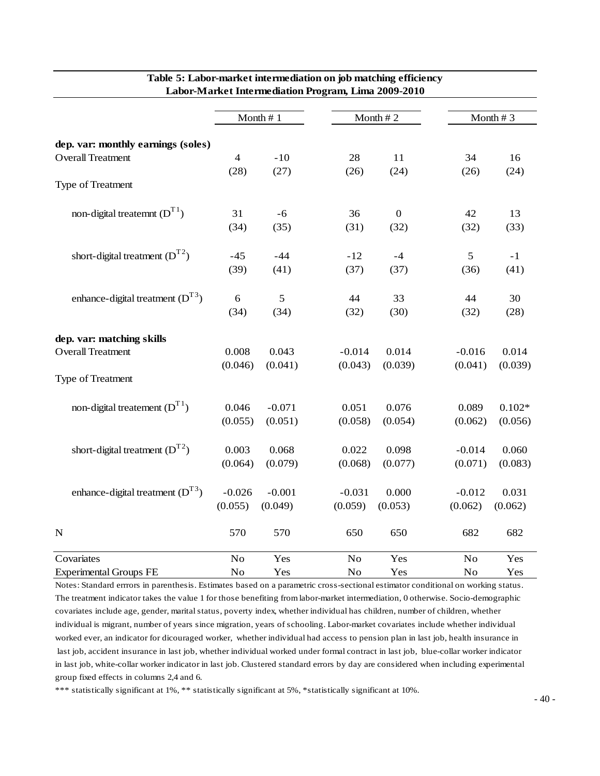|                                                                                                                                                                   |                  |                  | 20001-19101INCL IIIRCHIRCGIOUD I TOGIONI, IZINK 2002 |                  |                     |                  |
|-------------------------------------------------------------------------------------------------------------------------------------------------------------------|------------------|------------------|------------------------------------------------------|------------------|---------------------|------------------|
|                                                                                                                                                                   |                  | Month #1         |                                                      | Month #2         |                     | Month #3         |
| dep. var: monthly earnings (soles)<br><b>Overall Treatment</b>                                                                                                    | $\overline{4}$   | $-10$            | 28                                                   | 11               | 34                  | 16               |
| Type of Treatment                                                                                                                                                 | (28)             | (27)             | (26)                                                 | (24)             | (26)                | (24)             |
| non-digital treatemnt $(D^{T1})$                                                                                                                                  | 31               | $-6$             | 36                                                   | $\overline{0}$   | 42                  | 13               |
|                                                                                                                                                                   | (34)             | (35)             | (31)                                                 | (32)             | (32)                | (33)             |
| short-digital treatment $(D^{T2})$                                                                                                                                | $-45$            | $-44$            | $-12$                                                | $-4$             | 5                   | $-1$             |
|                                                                                                                                                                   | (39)             | (41)             | (37)                                                 | (37)             | (36)                | (41)             |
| enhance-digital treatment $(D^{T3})$                                                                                                                              | 6                | 5                | 44                                                   | 33               | 44                  | 30               |
|                                                                                                                                                                   | (34)             | (34)             | (32)                                                 | (30)             | (32)                | (28)             |
| dep. var: matching skills                                                                                                                                         |                  |                  |                                                      |                  |                     |                  |
| <b>Overall Treatment</b>                                                                                                                                          | 0.008            | 0.043            | $-0.014$                                             | 0.014            | $-0.016$            | 0.014            |
| Type of Treatment                                                                                                                                                 | (0.046)          | (0.041)          | (0.043)                                              | (0.039)          | (0.041)             | (0.039)          |
| non-digital treatement $(D^{T1})$                                                                                                                                 | 0.046            | $-0.071$         | 0.051                                                | 0.076            | 0.089               | $0.102*$         |
|                                                                                                                                                                   | (0.055)          | (0.051)          | (0.058)                                              | (0.054)          | (0.062)             | (0.056)          |
| short-digital treatment $(D^{T2})$                                                                                                                                | 0.003<br>(0.064) | 0.068<br>(0.079) | 0.022<br>(0.068)                                     | 0.098<br>(0.077) | $-0.014$<br>(0.071) | 0.060<br>(0.083) |
| enhance-digital treatment $(D^{T3})$                                                                                                                              | $-0.026$         | $-0.001$         | $-0.031$                                             | 0.000            | $-0.012$            | 0.031            |
|                                                                                                                                                                   | (0.055)          | (0.049)          | (0.059)                                              | (0.053)          | (0.062)             | (0.062)          |
| ${\bf N}$                                                                                                                                                         | 570              | 570              | 650                                                  | 650              | 682                 | 682              |
| Covariates                                                                                                                                                        | $\rm No$         | Yes              | $\rm No$                                             | Yes              | $\rm No$            | Yes              |
| <b>Experimental Groups FE</b><br>Notes: Standard errrors in parenthesis. Estimates based on a parametric cross-sectional estimator conditional on working status. | No               | Yes              | No                                                   | Yes              | No                  | Yes              |

#### **Table 5: Labor-market intermediation on job matching efficiency Labor-Market Intermediation Program, Lima 2009-2010**

The treatment indicator takes the value 1 for those benefiting from labor-market intermediation, 0 otherwise. Socio-demographic covariates include age, gender, marital status, poverty index, whether individual has children, number of children, whether individual is migrant, number of years since migration, years of schooling. Labor-market covariates include whether individual worked ever, an indicator for dicouraged worker, whether individual had access to pension plan in last job, health insurance in last job, accident insurance in last job, whether individual worked under formal contract in last job, blue-collar worker indicator in last job, white-collar worker indicator in last job. Clustered standard errors by day are considered when including experimental group fixed effects in columns 2,4 and 6.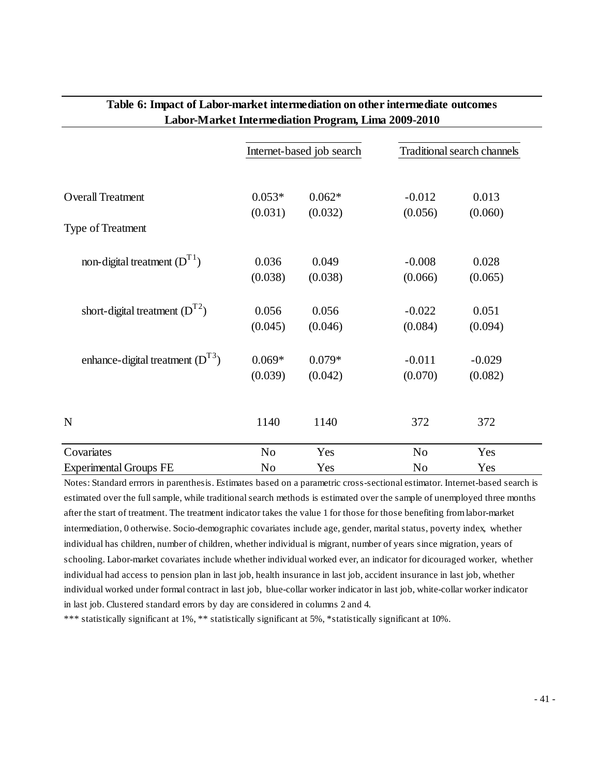|                                      |                | Internet-based job search |                | Traditional search channels |
|--------------------------------------|----------------|---------------------------|----------------|-----------------------------|
| <b>Overall Treatment</b>             | $0.053*$       | $0.062*$                  | $-0.012$       | 0.013                       |
|                                      | (0.031)        | (0.032)                   | (0.056)        | (0.060)                     |
| Type of Treatment                    |                |                           |                |                             |
| non-digital treatment $(D^{T1})$     | 0.036          | 0.049                     | $-0.008$       | 0.028                       |
|                                      | (0.038)        | (0.038)                   | (0.066)        | (0.065)                     |
| short-digital treatment $(D^{T2})$   | 0.056          | 0.056                     | $-0.022$       | 0.051                       |
|                                      | (0.045)        | (0.046)                   | (0.084)        | (0.094)                     |
| enhance-digital treatment $(D^{T3})$ | $0.069*$       | $0.079*$                  | $-0.011$       | $-0.029$                    |
|                                      | (0.039)        | (0.042)                   | (0.070)        | (0.082)                     |
| $\mathbf N$                          | 1140           | 1140                      | 372            | 372                         |
|                                      |                |                           |                |                             |
| Covariates                           | N <sub>0</sub> | Yes                       | N <sub>0</sub> | Yes                         |
| <b>Experimental Groups FE</b>        | No             | Yes                       | N <sub>0</sub> | Yes                         |

# **Table 6: Impact of Labor-market intermediation on other intermediate outcomes Labor-Market Intermediation Program, Lima 2009-2010**

estimated over the full sample, while traditional search methods is estimated over the sample of unemployed three months after the start of treatment. The treatment indicator takes the value 1 for those for those benefiting from labor-market intermediation, 0 otherwise. Socio-demographic covariates include age, gender, marital status, poverty index, whether individual has children, number of children, whether individual is migrant, number of years since migration, years of schooling. Labor-market covariates include whether individual worked ever, an indicator for dicouraged worker, whether individual had access to pension plan in last job, health insurance in last job, accident insurance in last job, whether individual worked under formal contract in last job, blue-collar worker indicator in last job, white-collar worker indicator in last job. Clustered standard errors by day are considered in columns 2 and 4.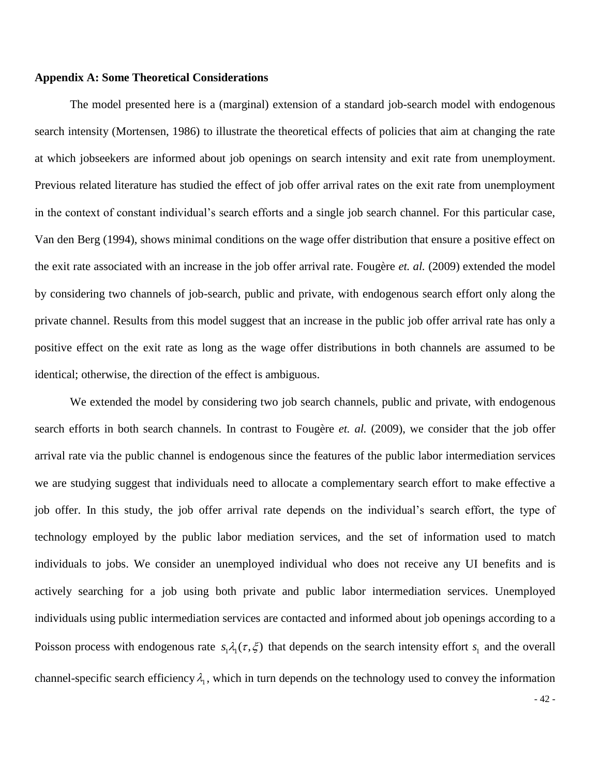# **Appendix A: Some Theoretical Considerations**

The model presented here is a (marginal) extension of a standard job-search model with endogenous search intensity (Mortensen, 1986) to illustrate the theoretical effects of policies that aim at changing the rate at which jobseekers are informed about job openings on search intensity and exit rate from unemployment. Previous related literature has studied the effect of job offer arrival rates on the exit rate from unemployment in the context of constant individual's search efforts and a single job search channel. For this particular case, Van den Berg (1994), shows minimal conditions on the wage offer distribution that ensure a positive effect on the exit rate associated with an increase in the job offer arrival rate. Fougère *et. al.* (2009) extended the model by considering two channels of job-search, public and private, with endogenous search effort only along the private channel. Results from this model suggest that an increase in the public job offer arrival rate has only a positive effect on the exit rate as long as the wage offer distributions in both channels are assumed to be identical; otherwise, the direction of the effect is ambiguous.

We extended the model by considering two job search channels, public and private, with endogenous search efforts in both search channels. In contrast to Fougère *et. al.* (2009), we consider that the job offer arrival rate via the public channel is endogenous since the features of the public labor intermediation services we are studying suggest that individuals need to allocate a complementary search effort to make effective a job offer. In this study, the job offer arrival rate depends on the individual's search effort, the type of technology employed by the public labor mediation services, and the set of information used to match individuals to jobs. We consider an unemployed individual who does not receive any UI benefits and is actively searching for a job using both private and public labor intermediation services. Unemployed individuals using public intermediation services are contacted and informed about job openings according to a Poisson process with endogenous rate  $s_1 \lambda_1(\tau, \xi)$  that depends on the search intensity effort  $s_1$  and the overall channel-specific search efficiency  $\lambda_1$ , which in turn depends on the technology used to convey the information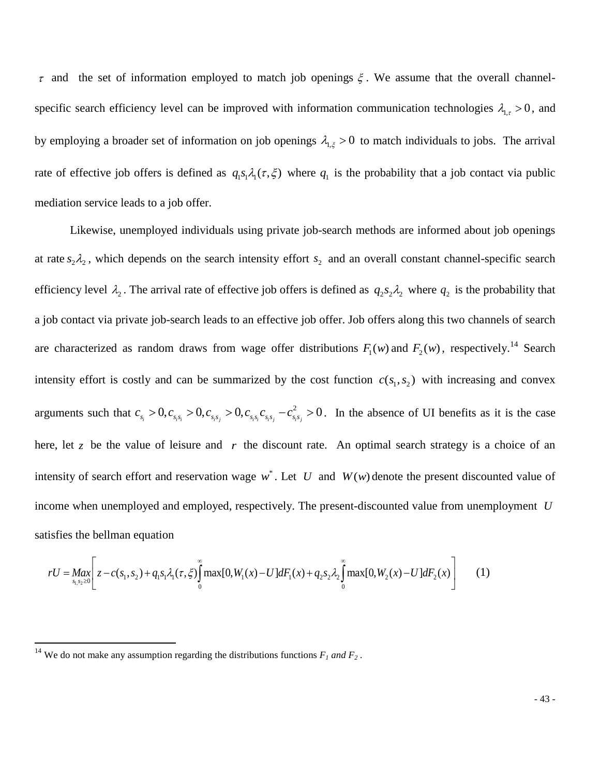$\tau$  and the set of information employed to match job openings  $\xi$ . We assume that the overall channelspecific search efficiency level can be improved with information communication technologies  $\lambda_{1,\tau} > 0$ , and by employing a broader set of information on job openings  $\lambda_{1,\xi} > 0$  to match individuals to jobs. The arrival rate of effective job offers is defined as  $q_1s_1\lambda_1(\tau,\xi)$  where  $q_1$  is the probability that a job contact via public mediation service leads to a job offer.

Likewise, unemployed individuals using private job-search methods are informed about job openings at rate  $s_2 \lambda_2$ , which depends on the search intensity effort  $s_2$  and an overall constant channel-specific search efficiency level  $\lambda_2$ . The arrival rate of effective job offers is defined as  $q_2s_2\lambda_2$  where  $q_2$  is the probability that a job contact via private job-search leads to an effective job offer. Job offers along this two channels of search are characterized as random draws from wage offer distributions  $F_1(w)$  and  $F_2(w)$ , respectively.<sup>14</sup> Search intensity effort is costly and can be summarized by the cost function  $c(s_1, s_2)$  with increasing and convex arguments such that  $c_s > 0, c_{ss} > 0, c_{ss} > 0, c_{ss} c_{ss} - c_s^2$  $c_{s_i} > 0, c_{s_i s_i} > 0, c_{s_i s_j} > 0, c_{s_i s_i} c_{s_i s_j} - c_{s_i s_j}^2 > 0$ . In the absence of UI benefits as it is the case here, let  $z$  be the value of leisure and  $r$  the discount rate. An optimal search strategy is a choice of an intensity of search effort and reservation wage  $w^*$ . Let U and  $W(w)$  denote the present discounted value of income when unemployed and employed, respectively. The present-discounted value from unemployment *U*<br>satisfies the bellman equation<br> $rU = \frac{Max}{s_1, s_2 \ge 0} \left[ z - c(s_1, s_2) + q_1 s_1 \lambda_1(\tau, \xi) \int_0^{\infty} \max[0, W_1(x) - U] dF_1(x) + q_2 s_2 \$ satisfies the bellman equation bellman equation<br>  $\left[ z - c(s_1, s_2) + q_1 s_1 \lambda_1(\tau, \xi) \right] \max[0, W_1(x) - U] dF_1(x) + q_2 s_2 \lambda_2 \left[ \max[0, W_2(x) - U] dF_2(x) \right]$  (1)

isfies the bellman equation  
\n
$$
rU = \max_{s_1, s_2 \ge 0} \left[ z - c(s_1, s_2) + q_1 s_1 \lambda_1(\tau, \xi) \int_0^\infty \max[0, W_1(x) - U] dF_1(x) + q_2 s_2 \lambda_2 \int_0^\infty \max[0, W_2(x) - U] dF_2(x) \right]
$$
\n(1)

 $\overline{a}$ 

<sup>&</sup>lt;sup>14</sup> We do not make any assumption regarding the distributions functions  $F_I$  and  $F_2$ .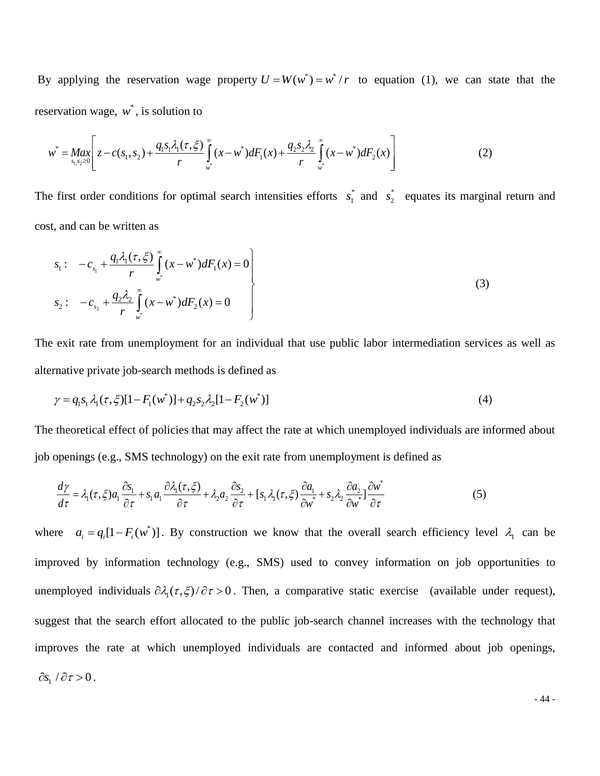By applying the reservation wage property  $U = W(w^*) = w^*/r$  to equation (1), we can state that the reservation wage,  $w^*$ , is solution to

$$
\begin{aligned}\n\text{ervation wage, } & w^*, \text{ is solution to} \\
w^* &= \underset{s_1, s_2 \ge 0}{Max} \left[ z - c(s_1, s_2) + \frac{q_1 s_1 \lambda_1(\tau, \xi)}{r} \int_{w^*}^{\infty} (x - w^*) dF_1(x) + \frac{q_2 s_2 \lambda_2}{r} \int_{w^*}^{\infty} (x - w^*) dF_2(x) \right] \tag{2}\n\end{aligned}
$$

The first order conditions for optimal search intensities efforts  $s_i^*$  $s_1^*$  and  $s_2^*$  $s_2^*$  equates its marginal return and cost, and can be written as

$$
s_1: \quad -c_{s_1} + \frac{q_1 \lambda_1(\tau, \xi)}{r} \int_{w^*}^{\infty} (x - w^*) dF_1(x) = 0
$$
\n
$$
s_2: \quad -c_{s_2} + \frac{q_2 \lambda_2}{r} \int_{w^*}^{\infty} (x - w^*) dF_2(x) = 0
$$
\n(3)

The exit rate from unemployment for an individual that use public labor intermediation services as well as alternative private job-search methods is defined as

$$
\gamma = q_1 s_1 \lambda_1(\tau, \xi) [1 - F_1(w^*)] + q_2 s_2 \lambda_2 [1 - F_2(w^*)]
$$
\n(4)

The theoretical effect of policies that may affect the rate at which unemployed individuals are informed about

job openings (e.g., SMS technology) on the exit rate from un employment is defined as  
\n
$$
\frac{d\gamma}{d\tau} = \lambda_1(\tau, \xi) a_1 \frac{\partial s_1}{\partial \tau} + s_1 a_1 \frac{\partial \lambda_1(\tau, \xi)}{\partial \tau} + \lambda_2 a_2 \frac{\partial s_2}{\partial \tau} + [s_1 \lambda_1(\tau, \xi) \frac{\partial a_1}{\partial w^*} + s_2 \lambda_2 \frac{\partial a_2}{\partial w^*}] \frac{\partial w^*}{\partial \tau}
$$
\n(5)

where  $a_i = q_i[1 - F_i(w^*)]$ . By construction we know that the overall search efficiency level  $\lambda_1$  can be improved by information technology (e.g., SMS) used to convey information on job opportunities to unemployed individuals  $\partial \lambda_1(\tau, \xi)/\partial \tau > 0$ . Then, a comparative static exercise (available under request), suggest that the search effort allocated to the public job-search channel increases with the technology that improves the rate at which unemployed individuals are contacted and informed about job openings,  $\partial s_1 / \partial \tau > 0$ .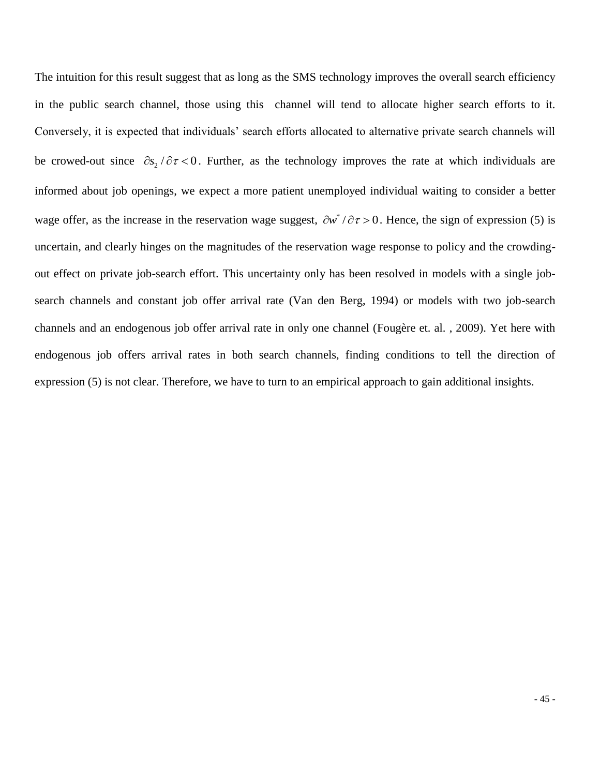The intuition for this result suggest that as long as the SMS technology improves the overall search efficiency in the public search channel, those using this channel will tend to allocate higher search efforts to it. Conversely, it is expected that individuals' search efforts allocated to alternative private search channels will be crowed-out since  $\partial s_2 / \partial \tau < 0$ . Further, as the technology improves the rate at which individuals are informed about job openings, we expect a more patient unemployed individual waiting to consider a better wage offer, as the increase in the reservation wage suggest,  $\partial w^*/\partial \tau > 0$ . Hence, the sign of expression (5) is uncertain, and clearly hinges on the magnitudes of the reservation wage response to policy and the crowdingout effect on private job-search effort. This uncertainty only has been resolved in models with a single jobsearch channels and constant job offer arrival rate (Van den Berg, 1994) or models with two job-search channels and an endogenous job offer arrival rate in only one channel (Fougère et. al. , 2009). Yet here with endogenous job offers arrival rates in both search channels, finding conditions to tell the direction of expression (5) is not clear. Therefore, we have to turn to an empirical approach to gain additional insights.